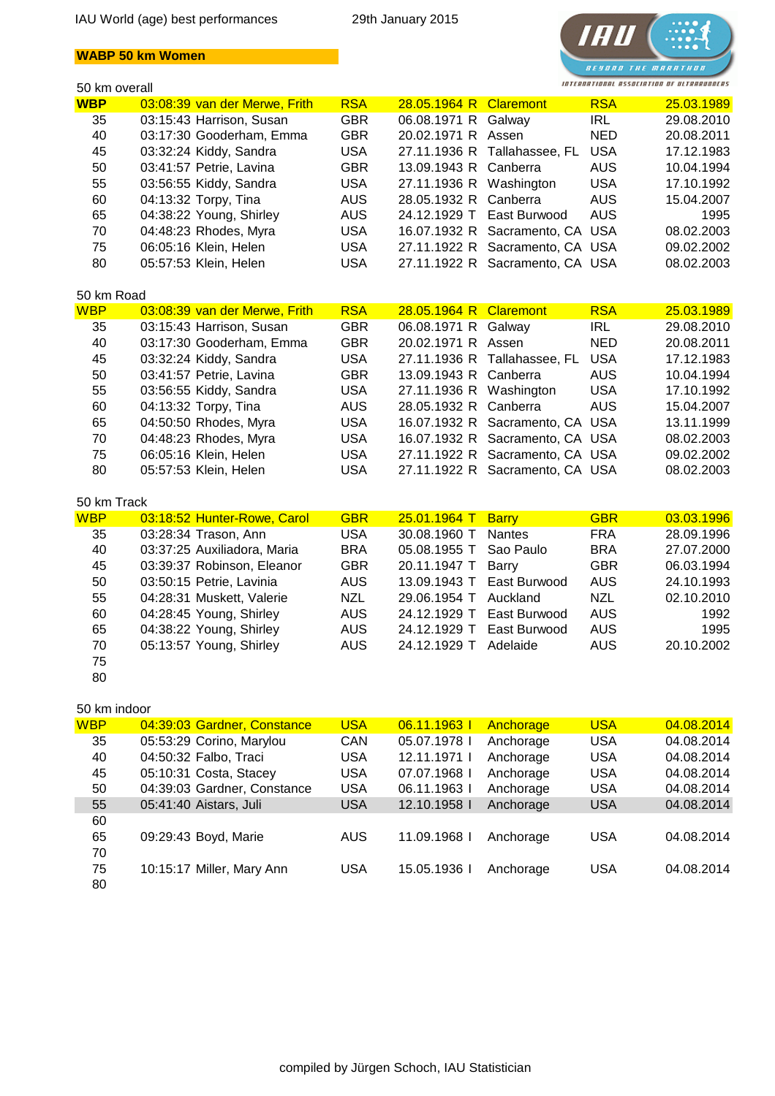## **WABP 50 km Women**



| 50 km overall |                               |            |                         |                                 | INTERNATIONAL ASSOCIATION OF ULTRARUNDERS |            |
|---------------|-------------------------------|------------|-------------------------|---------------------------------|-------------------------------------------|------------|
| <b>WBP</b>    | 03:08:39 van der Merwe, Frith | <b>RSA</b> | 28.05.1964 R Claremont  |                                 | <b>RSA</b>                                | 25.03.1989 |
| 35            | 03:15:43 Harrison, Susan      | <b>GBR</b> | 06.08.1971 R Galway     |                                 | <b>IRL</b>                                | 29.08.2010 |
| 40            | 03:17:30 Gooderham, Emma      | <b>GBR</b> | 20.02.1971 R Assen      |                                 | <b>NED</b>                                | 20.08.2011 |
| 45            | 03:32:24 Kiddy, Sandra        | <b>USA</b> |                         | 27.11.1936 R Tallahassee, FL    | <b>USA</b>                                | 17.12.1983 |
| 50            | 03:41:57 Petrie, Lavina       | <b>GBR</b> | 13.09.1943 R            | Canberra                        | <b>AUS</b>                                | 10.04.1994 |
| 55            | 03:56:55 Kiddy, Sandra        | <b>USA</b> | 27.11.1936 R            | Washington                      | <b>USA</b>                                | 17.10.1992 |
| 60            | 04:13:32 Torpy, Tina          | <b>AUS</b> | 28.05.1932 R            | Canberra                        | <b>AUS</b>                                | 15.04.2007 |
| 65            | 04:38:22 Young, Shirley       | <b>AUS</b> | 24.12.1929 T            | East Burwood                    | <b>AUS</b>                                | 1995       |
| 70            | 04:48:23 Rhodes, Myra         | <b>USA</b> |                         | 16.07.1932 R Sacramento, CA USA |                                           | 08.02.2003 |
| 75            | 06:05:16 Klein, Helen         | <b>USA</b> |                         | 27.11.1922 R Sacramento, CA USA |                                           | 09.02.2002 |
| 80            | 05:57:53 Klein, Helen         | <b>USA</b> |                         | 27.11.1922 R Sacramento, CA USA |                                           | 08.02.2003 |
| 50 km Road    |                               |            |                         |                                 |                                           |            |
| <b>WBP</b>    | 03:08:39 van der Merwe, Frith | <b>RSA</b> | 28.05.1964 R            | <b>Claremont</b>                | <b>RSA</b>                                | 25.03.1989 |
| 35            | 03:15:43 Harrison, Susan      | <b>GBR</b> | 06.08.1971 R            | Galway                          | <b>IRL</b>                                | 29.08.2010 |
| 40            | 03:17:30 Gooderham, Emma      | <b>GBR</b> | 20.02.1971 R Assen      |                                 | <b>NED</b>                                | 20.08.2011 |
| 45            | 03:32:24 Kiddy, Sandra        | <b>USA</b> | 27.11.1936 R            | Tallahassee, FL                 | <b>USA</b>                                | 17.12.1983 |
| 50            | 03:41:57 Petrie, Lavina       | <b>GBR</b> | 13.09.1943 R            | Canberra                        | <b>AUS</b>                                | 10.04.1994 |
| 55            | 03:56:55 Kiddy, Sandra        | <b>USA</b> | 27.11.1936 R Washington |                                 | <b>USA</b>                                | 17.10.1992 |
| 60            | 04:13:32 Torpy, Tina          | <b>AUS</b> | 28.05.1932 R Canberra   |                                 | <b>AUS</b>                                | 15.04.2007 |
| 65            | 04:50:50 Rhodes, Myra         | <b>USA</b> |                         | 16.07.1932 R Sacramento, CA USA |                                           | 13.11.1999 |
| 70            | 04:48:23 Rhodes, Myra         | <b>USA</b> |                         | 16.07.1932 R Sacramento, CA USA |                                           | 08.02.2003 |
| 75            | 06:05:16 Klein, Helen         | <b>USA</b> |                         | 27.11.1922 R Sacramento, CA USA |                                           | 09.02.2002 |
| 80            | 05:57:53 Klein, Helen         | <b>USA</b> |                         | 27.11.1922 R Sacramento, CA USA |                                           | 08.02.2003 |
| 50 km Track   |                               |            |                         |                                 |                                           |            |
| <b>WBP</b>    | 03:18:52 Hunter-Rowe, Carol   | <b>GBR</b> | 25.01.1964 T            | <b>Barry</b>                    | <b>GBR</b>                                | 03.03.1996 |
| 35            | 03:28:34 Trason, Ann          | <b>USA</b> | 30.08.1960 T            | <b>Nantes</b>                   | <b>FRA</b>                                | 28.09.1996 |
| 40            | 03:37:25 Auxiliadora, Maria   | <b>BRA</b> | 05.08.1955 T            | Sao Paulo                       | <b>BRA</b>                                | 27.07.2000 |
| 45            | 03:39:37 Robinson, Eleanor    | <b>GBR</b> | 20.11.1947 T            | <b>Barry</b>                    | <b>GBR</b>                                | 06.03.1994 |
| 50            | 03:50:15 Petrie, Lavinia      | <b>AUS</b> | 13.09.1943 T            | East Burwood                    | <b>AUS</b>                                | 24.10.1993 |
| 55            | 04:28:31 Muskett, Valerie     | <b>NZL</b> | 29.06.1954 T            | Auckland                        | <b>NZL</b>                                | 02.10.2010 |
| 60            | 04:28:45 Young, Shirley       | <b>AUS</b> | 24.12.1929 T            | East Burwood                    | <b>AUS</b>                                | 1992       |
| 65            | 04:38:22 Young, Shirley       | <b>AUS</b> | 24.12.1929 T            | East Burwood                    | <b>AUS</b>                                | 1995       |
| 70            | 05:13:57 Young, Shirley       | <b>AUS</b> | 24.12.1929 T            | Adelaide                        | <b>AUS</b>                                | 20.10.2002 |
| 75            |                               |            |                         |                                 |                                           |            |
| 80            |                               |            |                         |                                 |                                           |            |
| 50 km indoor  |                               |            |                         |                                 |                                           |            |
| <b>WBP</b>    | 04:39:03 Gardner, Constance   | <b>USA</b> | 06.11.1963 l            | Anchorage                       | <b>USA</b>                                | 04.08.2014 |
| 35            | 05:53:29 Corino, Marylou      | CAN        | 05.07.1978 l            | Anchorage                       | <b>USA</b>                                | 04.08.2014 |
| 40            | 04:50:32 Falbo, Traci         | <b>USA</b> | 12.11.1971 l            | Anchorage                       | <b>USA</b>                                | 04.08.2014 |
| 45            | 05:10:31 Costa, Stacey        | <b>USA</b> | 07.07.1968 l            | Anchorage                       | <b>USA</b>                                | 04.08.2014 |
| 50            | 04:39:03 Gardner, Constance   | <b>USA</b> | 06.11.1963 l            | Anchorage                       | <b>USA</b>                                | 04.08.2014 |
| 55            | 05:41:40 Aistars, Juli        | <b>USA</b> | 12.10.1958 l            | Anchorage                       | <b>USA</b>                                | 04.08.2014 |

| ັບບ | $0.71.70$ Alstars, Juli   | UUN  | $12.10.13301$ rundictionage |           | <b>UUN</b> | 07.UU.LU IT |
|-----|---------------------------|------|-----------------------------|-----------|------------|-------------|
| 60  |                           |      |                             |           |            |             |
| 65  | 09:29:43 Boyd, Marie      | AUS. | 11.09.1968 l                | Anchorage | USA        | 04.08.2014  |
| 70  |                           |      |                             |           |            |             |
| 75  | 10:15:17 Miller, Mary Ann | USA  | 15.05.1936 l                | Anchorage | USA        | 04.08.2014  |
| 80  |                           |      |                             |           |            |             |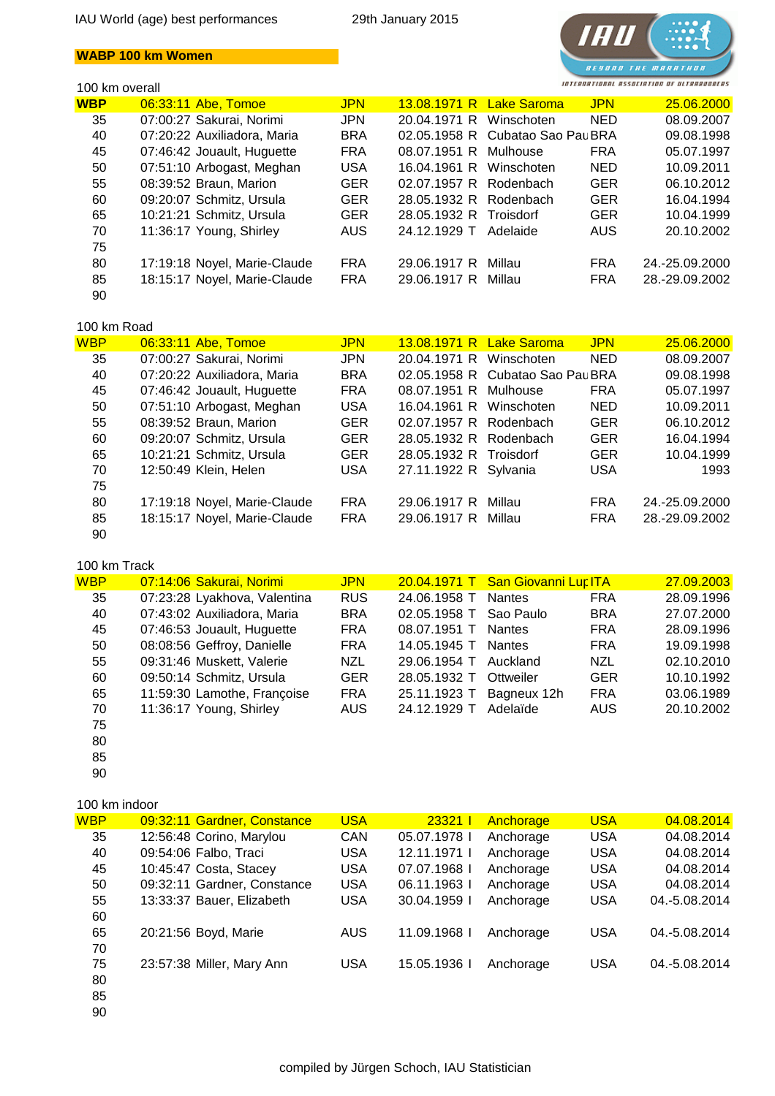## **WABP 100 km Women**

## 100 km overall



| <b>WBP</b> | 06:33:11 Abe, Tomoe          | <b>JPN</b> |                         | 13.08.1971 R Lake Saroma         | <b>JPN</b> | 25.06.2000     |
|------------|------------------------------|------------|-------------------------|----------------------------------|------------|----------------|
| 35         | 07:00:27 Sakurai, Norimi     | <b>JPN</b> | 20.04.1971 R Winschoten |                                  | <b>NED</b> | 08.09.2007     |
| 40         | 07:20:22 Auxiliadora, Maria  | <b>BRA</b> |                         | 02.05.1958 R Cubatao Sao Pau BRA |            | 09.08.1998     |
| 45         | 07:46:42 Jouault, Huguette   | <b>FRA</b> | 08.07.1951 R Mulhouse   |                                  | <b>FRA</b> | 05.07.1997     |
| 50         | 07:51:10 Arbogast, Meghan    | <b>USA</b> | 16.04.1961 R Winschoten |                                  | <b>NED</b> | 10.09.2011     |
| 55         | 08:39:52 Braun, Marion       | <b>GER</b> | 02.07.1957 R Rodenbach  |                                  | <b>GER</b> | 06.10.2012     |
| 60         | 09:20:07 Schmitz, Ursula     | <b>GER</b> | 28.05.1932 R Rodenbach  |                                  | <b>GER</b> | 16.04.1994     |
| 65         | 10:21:21 Schmitz, Ursula     | <b>GER</b> | 28.05.1932 R Troisdorf  |                                  | <b>GER</b> | 10.04.1999     |
| 70         | 11:36:17 Young, Shirley      | AUS.       | 24.12.1929 T            | Adelaide                         | <b>AUS</b> | 20.10.2002     |
| 75         |                              |            |                         |                                  |            |                |
| 80         | 17:19:18 Noyel, Marie-Claude | <b>FRA</b> | 29.06.1917 R            | Millau                           | <b>FRA</b> | 24.-25.09.2000 |
| 85         | 18:15:17 Noyel, Marie-Claude | <b>FRA</b> | 29.06.1917 R Millau     |                                  | <b>FRA</b> | 28.-29.09.2002 |
| 90         |                              |            |                         |                                  |            |                |

#### 100 km Road

| <b>WBP</b> | 06:33:11 Abe, Tomoe          | <b>JPN</b> |                         | 13.08.1971 R Lake Saroma         | <b>JPN</b> | 25.06.2000     |
|------------|------------------------------|------------|-------------------------|----------------------------------|------------|----------------|
| 35         | 07:00:27 Sakurai, Norimi     | <b>JPN</b> | 20.04.1971 R            | Winschoten                       | <b>NED</b> | 08.09.2007     |
| 40         | 07:20:22 Auxiliadora, Maria  | <b>BRA</b> |                         | 02.05.1958 R Cubatao Sao Pau BRA |            | 09.08.1998     |
| 45         | 07:46:42 Jouault, Huguette   | <b>FRA</b> | 08.07.1951 R Mulhouse   |                                  | <b>FRA</b> | 05.07.1997     |
| 50         | 07:51:10 Arbogast, Meghan    | <b>USA</b> | 16.04.1961 R Winschoten |                                  | <b>NED</b> | 10.09.2011     |
| 55         | 08:39:52 Braun, Marion       | <b>GER</b> | 02.07.1957 R Rodenbach  |                                  | <b>GER</b> | 06.10.2012     |
| 60         | 09:20:07 Schmitz, Ursula     | <b>GER</b> | 28.05.1932 R Rodenbach  |                                  | <b>GER</b> | 16.04.1994     |
| 65         | 10:21:21 Schmitz, Ursula     | <b>GER</b> | 28.05.1932 R Troisdorf  |                                  | <b>GER</b> | 10.04.1999     |
| 70         | 12:50:49 Klein, Helen        | <b>USA</b> | 27.11.1922 R Sylvania   |                                  | <b>USA</b> | 1993           |
| 75         |                              |            |                         |                                  |            |                |
| 80         | 17:19:18 Noyel, Marie-Claude | <b>FRA</b> | 29.06.1917 R            | Millau                           | <b>FRA</b> | 24.-25.09.2000 |
| 85         | 18:15:17 Noyel, Marie-Claude | <b>FRA</b> | 29.06.1917 R            | Millau                           | <b>FRA</b> | 28.-29.09.2002 |
| 90         |                              |            |                         |                                  |            |                |
|            |                              |            |                         |                                  |            |                |

#### 100 km Track

| <b>WBP</b> | 07:14:06 Sakurai, Norimi     | <b>JPN</b> |              | 20.04.1971 T San Giovanni Lur ITA |            | 27.09.2003 |
|------------|------------------------------|------------|--------------|-----------------------------------|------------|------------|
| 35         | 07:23:28 Lyakhova, Valentina | <b>RUS</b> | 24.06.1958 T | <b>Nantes</b>                     | <b>FRA</b> | 28.09.1996 |
| 40         | 07:43:02 Auxiliadora, Maria  | <b>BRA</b> | 02.05.1958 T | Sao Paulo                         | <b>BRA</b> | 27.07.2000 |
| 45         | 07:46:53 Jouault, Huguette   | <b>FRA</b> | 08.07.1951 T | <b>Nantes</b>                     | <b>FRA</b> | 28.09.1996 |
| 50         | 08:08:56 Geffroy, Danielle   | <b>FRA</b> | 14.05.1945 T | <b>Nantes</b>                     | <b>FRA</b> | 19.09.1998 |
| 55         | 09:31:46 Muskett, Valerie    | <b>NZL</b> | 29.06.1954 T | Auckland                          | <b>NZL</b> | 02.10.2010 |
| 60         | 09:50:14 Schmitz, Ursula     | <b>GER</b> | 28.05.1932 T | Ottweiler                         | <b>GER</b> | 10.10.1992 |
| 65         | 11:59:30 Lamothe, Françoise  | <b>FRA</b> | 25.11.1923 T | Bagneux 12h                       | <b>FRA</b> | 03.06.1989 |
| 70         | 11:36:17 Young, Shirley      | AUS.       | 24.12.1929 T | Adelaïde                          | <b>AUS</b> | 20.10.2002 |
| 75         |                              |            |              |                                   |            |            |
|            |                              |            |              |                                   |            |            |

80 85

90

#### 100 km indoor

| <b>WBP</b> | 09:32:11 Gardner, Constance | <b>USA</b> | 23321 l      | Anchorage | <b>USA</b> | 04.08.2014    |
|------------|-----------------------------|------------|--------------|-----------|------------|---------------|
| 35         | 12:56:48 Corino, Marylou    | <b>CAN</b> | 05.07.1978   | Anchorage | <b>USA</b> | 04.08.2014    |
| 40         | 09:54:06 Falbo, Traci       | <b>USA</b> | 12.11.1971   | Anchorage | <b>USA</b> | 04.08.2014    |
| 45         | 10:45:47 Costa, Stacey      | <b>USA</b> | 07.07.1968   | Anchorage | <b>USA</b> | 04.08.2014    |
| 50         | 09:32:11 Gardner, Constance | <b>USA</b> | 06.11.1963   | Anchorage | <b>USA</b> | 04.08.2014    |
| 55         | 13:33:37 Bauer, Elizabeth   | <b>USA</b> | 30.04.1959 l | Anchorage | <b>USA</b> | 04.-5.08.2014 |
| 60         |                             |            |              |           |            |               |
| 65         | 20:21:56 Boyd, Marie        | AUS        | 11.09.1968   | Anchorage | <b>USA</b> | 04.-5.08.2014 |
| 70         |                             |            |              |           |            |               |
| 75         | 23:57:38 Miller, Mary Ann   | <b>USA</b> | 15.05.1936   | Anchorage | <b>USA</b> | 04.-5.08.2014 |
| 80         |                             |            |              |           |            |               |
| 85         |                             |            |              |           |            |               |
| 90         |                             |            |              |           |            |               |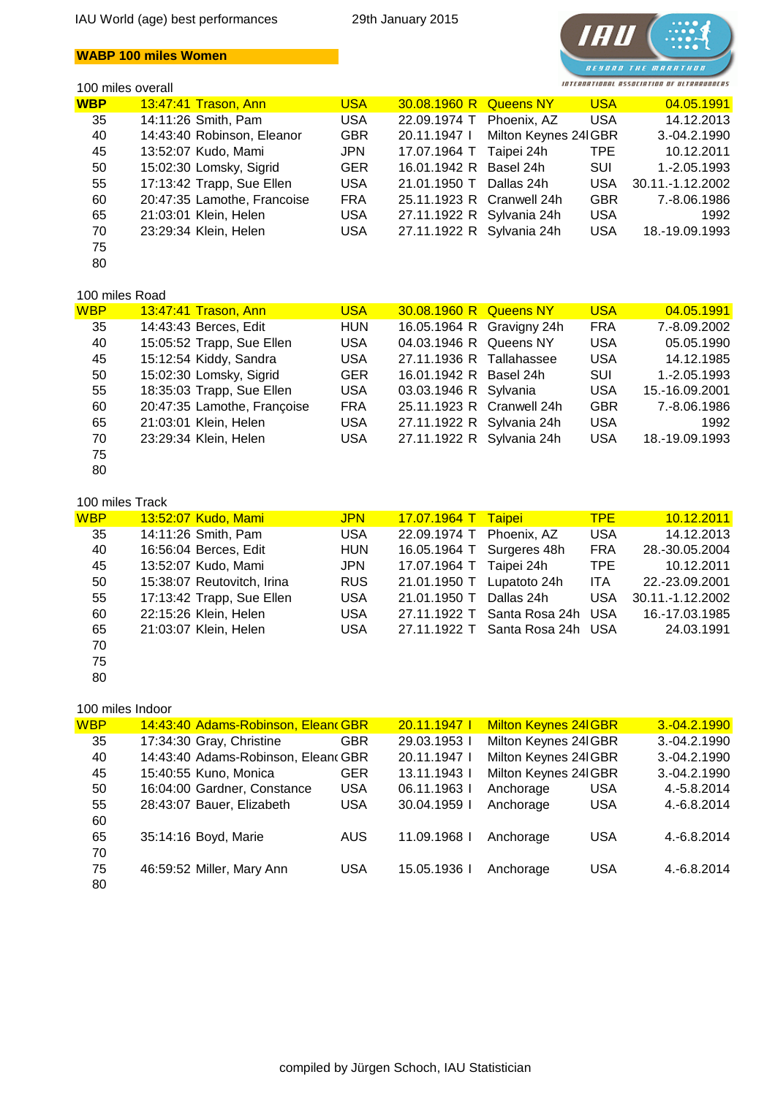## **WABP 100 miles Women**

#### 100 miles overall



| <b>WBP</b> | 13:47:41 Trason, Ann        | <b>USA</b> | 30.08.1960 R              | <b>Queens NY</b>     | <b>USA</b> | 04.05.1991       |
|------------|-----------------------------|------------|---------------------------|----------------------|------------|------------------|
| 35         | 14:11:26 Smith, Pam         | <b>USA</b> | 22.09.1974 T              | Phoenix, AZ          | <b>USA</b> | 14.12.2013       |
| 40         | 14:43:40 Robinson, Eleanor  | <b>GBR</b> | 20.11.1947                | Milton Keynes 24 GBR |            | $3.-04.2.1990$   |
| 45         | 13:52:07 Kudo, Mami         | <b>JPN</b> | 17.07.1964 T              | Taipei 24h           | TPE.       | 10.12.2011       |
| 50         | 15:02:30 Lomsky, Sigrid     | <b>GER</b> | 16.01.1942 R              | Basel 24h            | SUI        | 1.-2.05.1993     |
| 55         | 17:13:42 Trapp, Sue Ellen   | <b>USA</b> | 21.01.1950 T              | Dallas 24h           | <b>USA</b> | 30.11.-1.12.2002 |
| 60         | 20:47:35 Lamothe, Francoise | <b>FRA</b> | 25.11.1923 R Cranwell 24h |                      | <b>GBR</b> | 7.-8.06.1986     |
| 65         | 21:03:01 Klein, Helen       | <b>USA</b> | 27.11.1922 R Sylvania 24h |                      | <b>USA</b> | 1992             |
| 70         | 23:29:34 Klein, Helen       | <b>USA</b> | 27.11.1922 R Sylvania 24h |                      | <b>USA</b> | 18.-19.09.1993   |
| 75         |                             |            |                           |                      |            |                  |
| 80         |                             |            |                           |                      |            |                  |

## 100 miles Road

| 199711119913949 |                             |            |                           |                           |            |                |
|-----------------|-----------------------------|------------|---------------------------|---------------------------|------------|----------------|
| WBP             | 13:47:41 Trason, Ann        | <b>USA</b> | 30.08.1960 R Queens NY    |                           | <b>USA</b> | 04.05.1991     |
| 35              | 14:43:43 Berces, Edit       | <b>HUN</b> |                           | 16.05.1964 R Gravigny 24h | <b>FRA</b> | 7.-8.09.2002   |
| 40              | 15:05:52 Trapp, Sue Ellen   | <b>USA</b> | 04.03.1946 R Queens NY    |                           | <b>USA</b> | 05.05.1990     |
| 45              | 15:12:54 Kiddy, Sandra      | <b>USA</b> | 27.11.1936 R Tallahassee  |                           | <b>USA</b> | 14.12.1985     |
| 50              | 15:02:30 Lomsky, Sigrid     | <b>GER</b> | 16.01.1942 R Basel 24h    |                           | <b>SUI</b> | 1.-2.05.1993   |
| 55              | 18:35:03 Trapp, Sue Ellen   | <b>USA</b> | 03.03.1946 R Sylvania     |                           | <b>USA</b> | 15.-16.09.2001 |
| 60              | 20:47:35 Lamothe, Françoise | <b>FRA</b> | 25.11.1923 R Cranwell 24h |                           | <b>GBR</b> | 7.-8.06.1986   |
| 65              | 21:03:01 Klein, Helen       | <b>USA</b> | 27.11.1922 R Sylvania 24h |                           | <b>USA</b> | 1992           |
| 70              | 23:29:34 Klein, Helen       | <b>USA</b> | 27.11.1922 R Sylvania 24h |                           | <b>USA</b> | 18.-19.09.1993 |
| 75              |                             |            |                           |                           |            |                |

```
80
```
#### 100 miles Track

| <b>WBP</b> | 13:52:07 Kudo, Mami        | <b>JPN</b> | <mark>17.07.1964 T</mark> | <b>Taipei</b>                   | TPE.       | 10.12.2011       |
|------------|----------------------------|------------|---------------------------|---------------------------------|------------|------------------|
| 35         | 14:11:26 Smith, Pam        | <b>USA</b> | 22.09.1974 T              | Phoenix, AZ                     | <b>USA</b> | 14.12.2013       |
| 40         | 16:56:04 Berces, Edit      | <b>HUN</b> | 16.05.1964 T              | Surgeres 48h                    | <b>FRA</b> | 28.-30.05.2004   |
| 45         | 13:52:07 Kudo, Mami        | <b>JPN</b> | 17.07.1964 T Taipei 24h   |                                 | TPE        | 10.12.2011       |
| 50         | 15:38:07 Reutovitch, Irina | <b>RUS</b> | 21.01.1950 T              | Lupatoto 24h                    | <b>ITA</b> | 22.-23.09.2001   |
| 55         | 17:13:42 Trapp, Sue Ellen  | <b>USA</b> | 21.01.1950 T              | Dallas 24h                      | <b>USA</b> | 30.11.-1.12.2002 |
| 60         | 22:15:26 Klein, Helen      | <b>USA</b> | 27.11.1922 T              | Santa Rosa 24h USA              |            | 16.-17.03.1985   |
| 65         | 21:03:07 Klein, Helen      | <b>USA</b> |                           | 27.11.1922 T Santa Rosa 24h USA |            | 24.03.1991       |
| 70         |                            |            |                           |                                 |            |                  |

80

75

#### 100 miles Indoor

| <b>WBP</b> | 14:43:40 Adams-Robinson, Elean GBR |            | 20.11.1947   | <b>Milton Keynes 24 GBR</b> |            | $3.-04.2.1990$ |
|------------|------------------------------------|------------|--------------|-----------------------------|------------|----------------|
| 35         | 17:34:30 Gray, Christine           | <b>GBR</b> | 29.03.1953 l | Milton Keynes 24 GBR        |            | 3.-04.2.1990   |
| 40         | 14:43:40 Adams-Robinson, Elean GBR |            | 20.11.1947   | Milton Keynes 24 GBR        |            | $3.-04.2.1990$ |
| 45         | 15:40:55 Kuno, Monica              | <b>GER</b> | 13.11.1943 l | Milton Keynes 24 GBR        |            | 3.-04.2.1990   |
| 50         | 16:04:00 Gardner, Constance        | <b>USA</b> | 06.11.1963   | Anchorage                   | <b>USA</b> | 4.-5.8.2014    |
| 55         | 28:43:07 Bauer, Elizabeth          | <b>USA</b> | 30.04.1959 l | Anchorage                   | <b>USA</b> | 4.-6.8.2014    |
| 60         |                                    |            |              |                             |            |                |
| 65         | 35:14:16 Boyd, Marie               | <b>AUS</b> | 11.09.1968   | Anchorage                   | <b>USA</b> | 4.-6.8.2014    |
| 70         |                                    |            |              |                             |            |                |
| 75         | 46:59:52 Miller, Mary Ann          | <b>USA</b> | 15.05.1936   | Anchorage                   | <b>USA</b> | 4.-6.8.2014    |
| 80         |                                    |            |              |                             |            |                |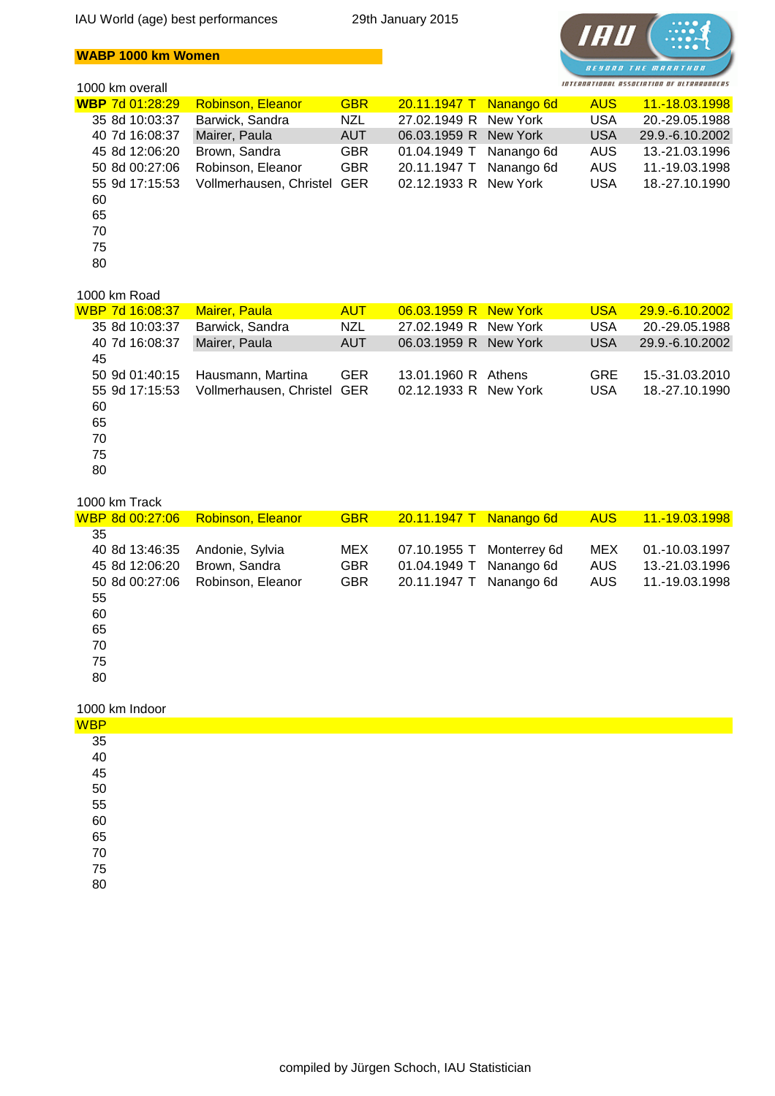IAU World (age) best performances 29th January 2015

## **WABP 1000 km Women**



## 1000 km overall

| TUUU NITTUVUTAIT       |                             |            |                         |            |            |                 |
|------------------------|-----------------------------|------------|-------------------------|------------|------------|-----------------|
| <b>WBP</b> 7d 01:28:29 | <b>Robinson, Eleanor</b>    | <b>GBR</b> | 20.11.1947 T Nanango 6d |            | <b>AUS</b> | 11.-18.03.1998  |
| 35 8d 10:03:37         | Barwick, Sandra             | <b>NZL</b> | 27.02.1949 R            | New York   | <b>USA</b> | 20.-29.05.1988  |
| 40 7d 16:08:37         | Mairer, Paula               | <b>AUT</b> | 06.03.1959 R            | New York   | <b>USA</b> | 29.9.-6.10.2002 |
| 45 8d 12:06:20         | Brown, Sandra               | <b>GBR</b> | 01.04.1949 T            | Nanango 6d | AUS        | 13.-21.03.1996  |
| 50 8d 00:27:06         | Robinson, Eleanor           | <b>GBR</b> | 20.11.1947 T            | Nanango 6d | <b>AUS</b> | 11.-19.03.1998  |
| 55 9d 17:15:53         | Vollmerhausen, Christel GER |            | 02.12.1933 R New York   |            | <b>USA</b> | 18.-27.10.1990  |
| 60                     |                             |            |                         |            |            |                 |
| 65                     |                             |            |                         |            |            |                 |
| 70                     |                             |            |                         |            |            |                 |
| 75                     |                             |            |                         |            |            |                 |
| 80                     |                             |            |                         |            |            |                 |
|                        |                             |            |                         |            |            |                 |

## 1000 km Road

| WBP 7d 16:08:37 | <b>Mairer, Paula</b>        | <b>AUT</b> | 06.03.1959 R New York |          | <b>USA</b> | 29.9.-6.10.2002   |
|-----------------|-----------------------------|------------|-----------------------|----------|------------|-------------------|
| 35 8d 10:03:37  | Barwick, Sandra             | <b>NZL</b> | 27.02.1949 R          | New York | <b>USA</b> | 20.-29.05.1988    |
| 40 7d 16:08:37  | Mairer, Paula               | <b>AUT</b> | 06.03.1959 R          | New York | <b>USA</b> | 29.9. - 6.10.2002 |
| 45              |                             |            |                       |          |            |                   |
| 50 9d 01:40:15  | Hausmann, Martina           | <b>GER</b> | 13.01.1960 R Athens   |          | <b>GRE</b> | 15.-31.03.2010    |
| 55 9d 17:15:53  | Vollmerhausen, Christel GER |            | 02.12.1933 R New York |          | <b>USA</b> | 18.-27.10.1990    |
| 60              |                             |            |                       |          |            |                   |
| 65              |                             |            |                       |          |            |                   |
| 70              |                             |            |                       |          |            |                   |
| 75              |                             |            |                       |          |            |                   |
| 80              |                             |            |                       |          |            |                   |
|                 |                             |            |                       |          |            |                   |

#### 1000 km Track

|    | WBP 8d 00:27:06 | <b>Robinson, Eleanor</b> | <b>GBR</b> | 20.11.1947 T Nanango 6d |              | <b>AUS</b> | 11.-19.03.1998 |
|----|-----------------|--------------------------|------------|-------------------------|--------------|------------|----------------|
| 35 |                 |                          |            |                         |              |            |                |
|    | 40 8d 13:46:35  | Andonie, Sylvia          | <b>MEX</b> | 07.10.1955 T            | Monterrey 6d | <b>MEX</b> | 01.-10.03.1997 |
|    | 45 8d 12:06:20  | Brown, Sandra            | <b>GBR</b> | 01.04.1949 T            | Nanango 6d   | AUS        | 13.-21.03.1996 |
|    | 50 8d 00:27:06  | Robinson, Eleanor        | <b>GBR</b> | 20.11.1947 T            | Nanango 6d   | <b>AUS</b> | 11.-19.03.1998 |
| 55 |                 |                          |            |                         |              |            |                |
| 60 |                 |                          |            |                         |              |            |                |
| 65 |                 |                          |            |                         |              |            |                |
| 70 |                 |                          |            |                         |              |            |                |
| 75 |                 |                          |            |                         |              |            |                |
| 80 |                 |                          |            |                         |              |            |                |
|    |                 |                          |            |                         |              |            |                |

#### 1000 km Indoor

| <b>WBP</b>                             |  |
|----------------------------------------|--|
|                                        |  |
|                                        |  |
|                                        |  |
|                                        |  |
|                                        |  |
| 35<br>40<br>45<br>50<br>55<br>60<br>65 |  |
|                                        |  |
| 70                                     |  |
| 75                                     |  |
| 80                                     |  |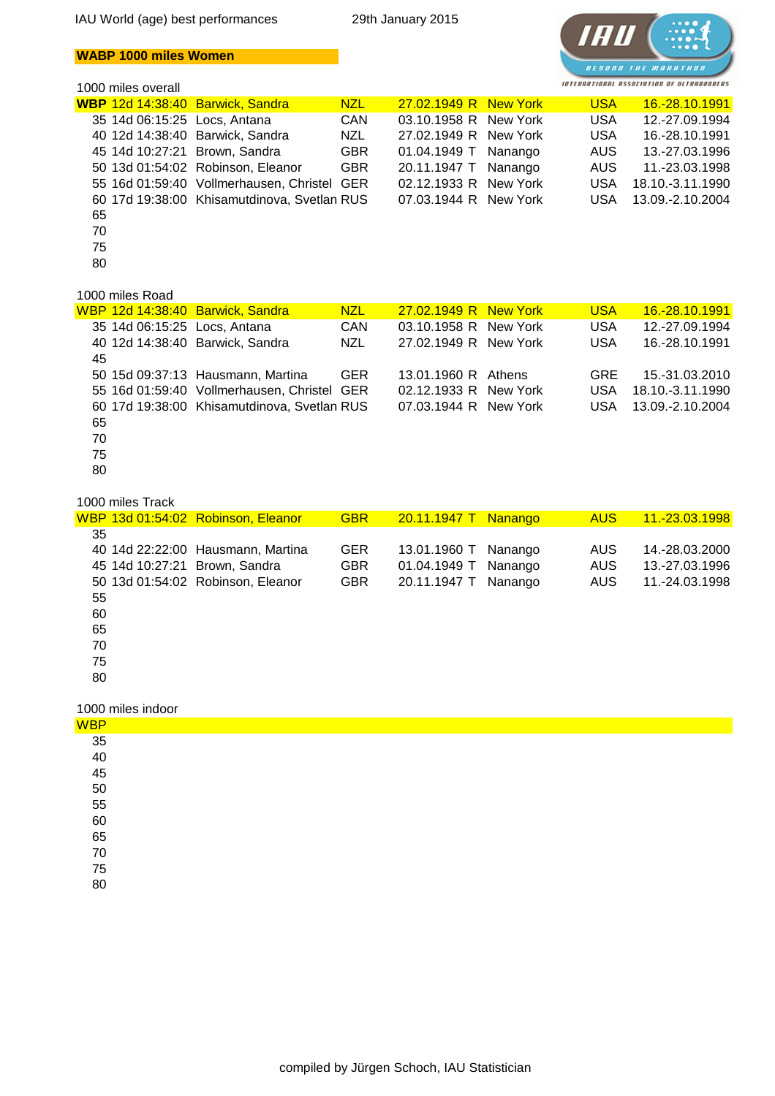## **WABP 1000 miles Women**

#### 1000 miles overall



|    |                 | WBP 12d 14:38:40 Barwick, Sandra            | <b>NZL</b> | 27.02.1949 R New York | <b>USA</b> | 16.-28.10.1991   |
|----|-----------------|---------------------------------------------|------------|-----------------------|------------|------------------|
|    |                 | 35 14d 06:15:25 Locs, Antana                | <b>CAN</b> | 03.10.1958 R New York | <b>USA</b> | 12.-27.09.1994   |
|    |                 | 40 12d 14:38:40 Barwick, Sandra             | NZL        | 27.02.1949 R New York | <b>USA</b> | 16.-28.10.1991   |
|    |                 | 45 14d 10:27:21 Brown, Sandra               | <b>GBR</b> | 01.04.1949 T Nanango  | AUS        | 13.-27.03.1996   |
|    |                 | 50 13d 01:54:02 Robinson, Eleanor           | <b>GBR</b> | 20.11.1947 T Nanango  | AUS        | 11.-23.03.1998   |
|    |                 | 55 16d 01:59:40 Vollmerhausen, Christel GER |            | 02.12.1933 R New York | <b>USA</b> | 18.10.-3.11.1990 |
|    |                 | 60 17d 19:38:00 Khisamutdinova, Svetlan RUS |            | 07.03.1944 R New York | <b>USA</b> | 13.09.-2.10.2004 |
| 65 |                 |                                             |            |                       |            |                  |
| 70 |                 |                                             |            |                       |            |                  |
| 75 |                 |                                             |            |                       |            |                  |
| 80 |                 |                                             |            |                       |            |                  |
|    |                 |                                             |            |                       |            |                  |
|    | 1000 miles Road |                                             |            |                       |            |                  |

#### 00 miles Road

|    |                              | WBP 12d 14:38:40 Barwick, Sandra            | <b>NZL</b> | 27.02.1949 R New York | <b>USA</b> | 16.-28.10.1991   |
|----|------------------------------|---------------------------------------------|------------|-----------------------|------------|------------------|
|    | 35 14d 06:15:25 Locs, Antana |                                             | <b>CAN</b> | 03.10.1958 R New York | <b>USA</b> | 12.-27.09.1994   |
|    |                              | 40 12d 14:38:40 Barwick, Sandra             | <b>NZL</b> | 27.02.1949 R New York | <b>USA</b> | 16.-28.10.1991   |
| 45 |                              |                                             |            |                       |            |                  |
|    |                              | 50 15d 09:37:13 Hausmann, Martina           | <b>GER</b> | 13.01.1960 R Athens   | <b>GRE</b> | 15.-31.03.2010   |
|    |                              | 55 16d 01:59:40 Vollmerhausen, Christel GER |            | 02.12.1933 R New York | <b>USA</b> | 18.10.-3.11.1990 |
|    |                              | 60 17d 19:38:00 Khisamutdinova, Svetlan RUS |            | 07.03.1944 R New York | USA.       | 13.09.-2.10.2004 |
| 65 |                              |                                             |            |                       |            |                  |
| 70 |                              |                                             |            |                       |            |                  |
| 75 |                              |                                             |            |                       |            |                  |
| 80 |                              |                                             |            |                       |            |                  |

#### 1000 miles Track

|    | WBP 13d 01:54:02 Robinson, Eleanor | <b>GBR</b> | 20.11.1947 T | <b>Nanango</b> | <b>AUS</b> | 11.-23.03.1998 |
|----|------------------------------------|------------|--------------|----------------|------------|----------------|
| 35 |                                    |            |              |                |            |                |
|    | 40 14d 22:22:00 Hausmann, Martina  | <b>GER</b> | 13.01.1960 T | Nanango        | <b>AUS</b> | 14.-28.03.2000 |
|    | 45 14d 10:27:21 Brown, Sandra      | GBR.       | 01.04.1949 T | Nanango        | <b>AUS</b> | 13.-27.03.1996 |
|    | 50 13d 01:54:02 Robinson, Eleanor  | <b>GBR</b> | 20.11.1947 T | Nanango        | <b>AUS</b> | 11.-24.03.1998 |
| 55 |                                    |            |              |                |            |                |
| 60 |                                    |            |              |                |            |                |
| 65 |                                    |            |              |                |            |                |
| 70 |                                    |            |              |                |            |                |
| 75 |                                    |            |              |                |            |                |
| 80 |                                    |            |              |                |            |                |
|    |                                    |            |              |                |            |                |

|  | 1000 miles indoor |
|--|-------------------|
|  |                   |

| - - -                                              | . |
|----------------------------------------------------|---|
| <b>WBP</b>                                         |   |
| 35<br>40<br>45<br>55<br>56<br>65<br>70<br>75<br>80 |   |
|                                                    |   |
|                                                    |   |
|                                                    |   |
|                                                    |   |
|                                                    |   |
|                                                    |   |
|                                                    |   |
|                                                    |   |
|                                                    |   |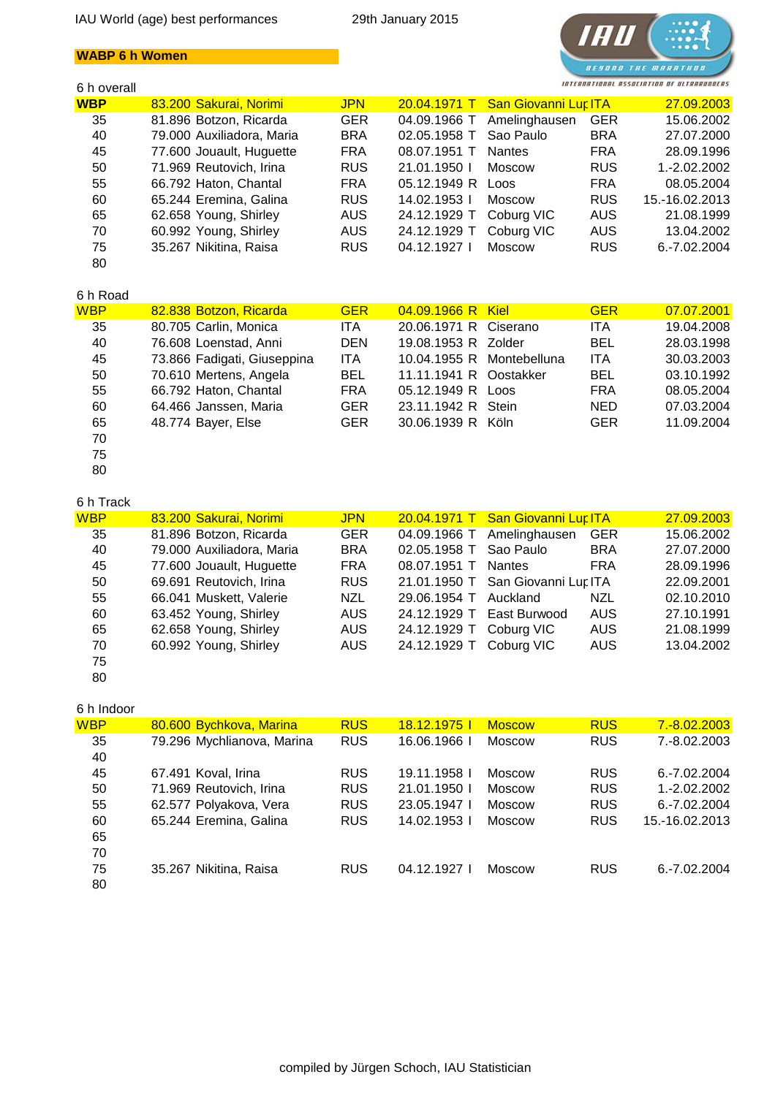## **WABP 6 h Women**

## 6 h overall



| u 11 uvulull |                           |            |              |                                   |            |                |
|--------------|---------------------------|------------|--------------|-----------------------------------|------------|----------------|
| <b>WBP</b>   | 83.200 Sakurai, Norimi    | <b>JPN</b> |              | 20.04.1971 T San Giovanni Lur ITA |            | 27.09.2003     |
| 35           | 81.896 Botzon, Ricarda    | <b>GER</b> | 04.09.1966 T | Amelinghausen                     | <b>GER</b> | 15.06.2002     |
| 40           | 79.000 Auxiliadora, Maria | <b>BRA</b> | 02.05.1958 T | Sao Paulo                         | <b>BRA</b> | 27.07.2000     |
| 45           | 77.600 Jouault, Huguette  | <b>FRA</b> | 08.07.1951 T | <b>Nantes</b>                     | <b>FRA</b> | 28.09.1996     |
| 50           | 71.969 Reutovich, Irina   | <b>RUS</b> | 21.01.1950   | <b>Moscow</b>                     | <b>RUS</b> | 1.-2.02.2002   |
| 55           | 66.792 Haton, Chantal     | <b>FRA</b> | 05.12.1949 R | Loos                              | <b>FRA</b> | 08.05.2004     |
| 60           | 65.244 Eremina, Galina    | <b>RUS</b> | 14.02.1953 l | <b>Moscow</b>                     | <b>RUS</b> | 15.-16.02.2013 |
| 65           | 62.658 Young, Shirley     | <b>AUS</b> | 24.12.1929 T | Coburg VIC                        | <b>AUS</b> | 21.08.1999     |
| 70           | 60.992 Young, Shirley     | AUS.       | 24.12.1929 T | Coburg VIC                        | AUS        | 13.04.2002     |
| 75           | 35.267 Nikitina, Raisa    | <b>RUS</b> | 04.12.1927   | <b>Moscow</b>                     | <b>RUS</b> | 6.-7.02.2004   |
| 80           |                           |            |              |                                   |            |                |

## 6 h Road

| <b>WBP</b> | 82.838 Botzon, Ricarda      | <b>GER</b> | 04.09.1966 R Kiel         | <b>GER</b> | 07.07.2001 |
|------------|-----------------------------|------------|---------------------------|------------|------------|
| 35         | 80.705 Carlin, Monica       | ITA.       | 20.06.1971 R Ciserano     | <b>ITA</b> | 19.04.2008 |
| 40         | 76.608 Loenstad, Anni       | <b>DEN</b> | 19.08.1953 R Zolder       | <b>BEL</b> | 28.03.1998 |
| 45         | 73.866 Fadigati, Giuseppina | <b>ITA</b> | 10.04.1955 R Montebelluna | <b>ITA</b> | 30.03.2003 |
| 50         | 70.610 Mertens, Angela      | <b>BEL</b> | 11.11.1941 R Oostakker    | <b>BEL</b> | 03.10.1992 |
| 55         | 66.792 Haton, Chantal       | <b>FRA</b> | 05.12.1949 R Loos         | <b>FRA</b> | 08.05.2004 |
| 60         | 64.466 Janssen, Maria       | <b>GER</b> | 23.11.1942 R Stein        | <b>NED</b> | 07.03.2004 |
| 65         | 48.774 Bayer, Else          | <b>GER</b> | 30.06.1939 R Köln         | <b>GER</b> | 11.09.2004 |
| 70         |                             |            |                           |            |            |
|            |                             |            |                           |            |            |

75

80

## 6 h Track

| <b>WBP</b> | 83.200 Sakurai, Norimi    | <b>JPN</b> |              | 20.04.1971 T San Giovanni Lur ITA |            | 27.09.2003 |
|------------|---------------------------|------------|--------------|-----------------------------------|------------|------------|
| 35         | 81.896 Botzon, Ricarda    | <b>GER</b> |              | 04.09.1966 T Amelinghausen        | <b>GER</b> | 15.06.2002 |
| 40         | 79.000 Auxiliadora, Maria | <b>BRA</b> | 02.05.1958 T | Sao Paulo                         | <b>BRA</b> | 27.07.2000 |
| 45         | 77.600 Jouault, Huguette  | <b>FRA</b> | 08.07.1951 T | <b>Nantes</b>                     | <b>FRA</b> | 28.09.1996 |
| 50         | 69.691 Reutovich, Irina   | <b>RUS</b> |              | 21.01.1950 T San Giovanni Lur ITA |            | 22.09.2001 |
| 55         | 66.041 Muskett, Valerie   | <b>NZL</b> | 29.06.1954 T | Auckland                          | NZL        | 02.10.2010 |
| 60         | 63.452 Young, Shirley     | <b>AUS</b> | 24.12.1929 T | East Burwood                      | <b>AUS</b> | 27.10.1991 |
| 65         | 62.658 Young, Shirley     | <b>AUS</b> | 24.12.1929 T | Coburg VIC                        | <b>AUS</b> | 21.08.1999 |
| 70         | 60.992 Young, Shirley     | AUS.       | 24.12.1929 T | Coburg VIC                        | <b>AUS</b> | 13.04.2002 |
| 75         |                           |            |              |                                   |            |            |

80

#### 6 h Indoor

| <b>WBP</b> | 80.600 Bychkova, Marina    | <b>RUS</b> | <u>18.12.1975  </u> | <b>Moscow</b> | <b>RUS</b> | 7.-8.02.2003    |
|------------|----------------------------|------------|---------------------|---------------|------------|-----------------|
| 35         | 79.296 Mychlianova, Marina | <b>RUS</b> | 16.06.1966          | <b>Moscow</b> | <b>RUS</b> | 7.-8.02.2003    |
| 40         |                            |            |                     |               |            |                 |
| 45         | 67.491 Koval, Irina        | <b>RUS</b> | 19.11.1958          | Moscow        | <b>RUS</b> | 6.-7.02.2004    |
| 50         | 71.969 Reutovich, Irina    | <b>RUS</b> | 21.01.1950          | Moscow        | <b>RUS</b> | 1.-2.02.2002    |
| 55         | 62.577 Polyakova, Vera     | <b>RUS</b> | 23.05.1947          | <b>Moscow</b> | <b>RUS</b> | $6. -7.02.2004$ |
| 60         | 65.244 Eremina, Galina     | <b>RUS</b> | 14.02.1953          | Moscow        | <b>RUS</b> | 15.-16.02.2013  |
| 65         |                            |            |                     |               |            |                 |
| 70         |                            |            |                     |               |            |                 |
| 75         | 35.267 Nikitina, Raisa     | <b>RUS</b> | 04.12.1927          | Moscow        | <b>RUS</b> | $6. -7.02.2004$ |
| 80         |                            |            |                     |               |            |                 |
|            |                            |            |                     |               |            |                 |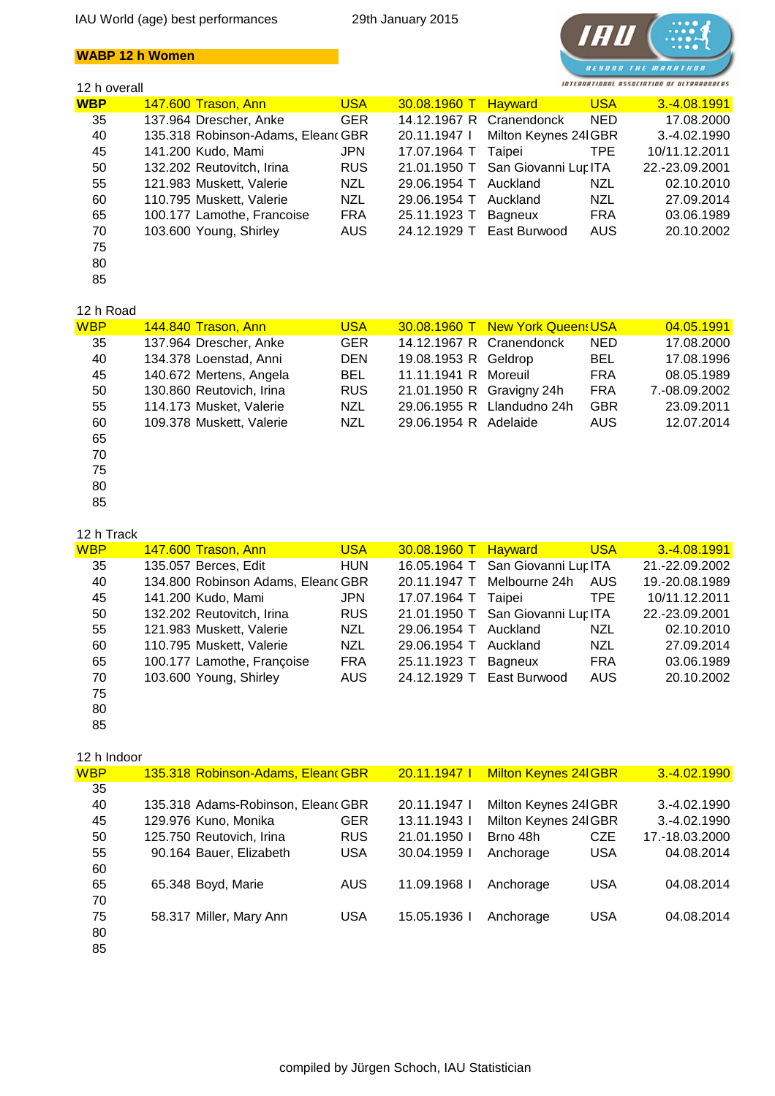## **WABP 12 h Women**

## 12 h overall



| <b>WBP</b> | <b>147.600 Trason, Ann</b>         | <b>USA</b> | 30.08.1960 T Hayward |                          | <b>USA</b> | 3.-4.08.1991   |
|------------|------------------------------------|------------|----------------------|--------------------------|------------|----------------|
| 35         | 137.964 Drescher, Anke             | <b>GER</b> |                      | 14.12.1967 R Cranendonck | <b>NED</b> | 17.08.2000     |
| 40         | 135.318 Robinson-Adams, Eleand GBR |            | 20.11.1947           | Milton Keynes 24 GBR     |            | 3.-4.02.1990   |
| 45         | 141.200 Kudo, Mami                 | <b>JPN</b> | 17.07.1964 T         | Taipei                   | TPE.       | 10/11.12.2011  |
| 50         | 132.202 Reutovitch, Irina          | <b>RUS</b> | 21.01.1950 T         | San Giovanni Lur ITA     |            | 22.-23.09.2001 |
| 55         | 121.983 Muskett, Valerie           | <b>NZL</b> | 29.06.1954 T         | Auckland                 | <b>NZL</b> | 02.10.2010     |
| 60         | 110.795 Muskett, Valerie           | NZL        | 29.06.1954 T         | Auckland                 | NZL        | 27.09.2014     |
| 65         | 100.177 Lamothe, Francoise         | <b>FRA</b> | 25.11.1923 T         | Bagneux                  | <b>FRA</b> | 03.06.1989     |
| 70         | 103.600 Young, Shirley             | AUS.       | 24.12.1929 T         | East Burwood             | AUS.       | 20.10.2002     |
| 75         |                                    |            |                      |                          |            |                |
| 80         |                                    |            |                      |                          |            |                |

## 12 h Road

85

| 14 11 I VUU |                          |            |                           |                                  |            |               |
|-------------|--------------------------|------------|---------------------------|----------------------------------|------------|---------------|
| WBP.        | 144.840 Trason, Ann      | <b>USA</b> |                           | 30.08.1960 T New York Queen: USA |            | 04.05.1991    |
| 35          | 137.964 Drescher, Anke   | <b>GER</b> | 14.12.1967 R Cranendonck  |                                  | <b>NED</b> | 17.08.2000    |
| 40          | 134.378 Loenstad, Anni   | <b>DEN</b> | 19.08.1953 R Geldrop      |                                  | <b>BEL</b> | 17.08.1996    |
| 45          | 140.672 Mertens, Angela  | <b>BEL</b> | 11.11.1941 R Moreuil      |                                  | <b>FRA</b> | 08.05.1989    |
| 50          | 130.860 Reutovich, Irina | <b>RUS</b> | 21.01.1950 R Gravigny 24h |                                  | <b>FRA</b> | 7.-08.09.2002 |
| 55          | 114.173 Musket, Valerie  | NZL        |                           | 29.06.1955 R Llandudno 24h       | <b>GBR</b> | 23.09.2011    |
| 60          | 109.378 Muskett, Valerie | NZL        | 29.06.1954 R Adelaide     |                                  | AUS        | 12.07.2014    |
| 65          |                          |            |                           |                                  |            |               |
| 70          |                          |            |                           |                                  |            |               |
|             |                          |            |                           |                                  |            |               |

- 75 80
- 85

| 12 h Track |                                    |            |              |                                   |            |                |
|------------|------------------------------------|------------|--------------|-----------------------------------|------------|----------------|
| <b>WBP</b> | 147.600 Trason, Ann                | <b>USA</b> | 30.08.1960 T | <b>Hayward</b>                    | <b>USA</b> | $3.-4.08.1991$ |
| 35         | 135.057 Berces, Edit               | <b>HUN</b> |              | 16.05.1964 T San Giovanni Lur ITA |            | 21.-22.09.2002 |
| 40         | 134.800 Robinson Adams, Eleand GBR |            | 20.11.1947 T | Melbourne 24h                     | <b>AUS</b> | 19.-20.08.1989 |
| 45         | 141.200 Kudo, Mami                 | <b>JPN</b> | 17.07.1964 T | Taipei                            | TPE.       | 10/11.12.2011  |
| 50         | 132.202 Reutovitch, Irina          | <b>RUS</b> |              | 21.01.1950 T San Giovanni Lur ITA |            | 22.-23.09.2001 |
| 55         | 121.983 Muskett, Valerie           | <b>NZL</b> | 29.06.1954 T | Auckland                          | <b>NZL</b> | 02.10.2010     |
| 60         | 110.795 Muskett, Valerie           | <b>NZL</b> | 29.06.1954 T | Auckland                          | NZL        | 27.09.2014     |
| 65         | 100.177 Lamothe, Françoise         | <b>FRA</b> | 25.11.1923 T | Bagneux                           | <b>FRA</b> | 03.06.1989     |
| 70         | 103.600 Young, Shirley             | <b>AUS</b> | 24.12.1929 T | East Burwood                      | <b>AUS</b> | 20.10.2002     |
| 75         |                                    |            |              |                                   |            |                |

<sup>80</sup>

85

#### 12 h Indoor

| <b>WBP</b> | 135.318 Robinson-Adams, Elean GBR  |            | 20.11.1947   | <b>Milton Keynes 24 GBR</b> |            | 3.-4.02.1990   |
|------------|------------------------------------|------------|--------------|-----------------------------|------------|----------------|
| 35         |                                    |            |              |                             |            |                |
| 40         | 135.318 Adams-Robinson, Eleanc GBR |            | 20.11.1947 L | Milton Keynes 24 GBR        |            | 3.-4.02.1990   |
| 45         | 129.976 Kuno, Monika               | <b>GER</b> | 13.11.1943 l | Milton Keynes 24 GBR        |            | 3.-4.02.1990   |
| 50         | 125.750 Reutovich, Irina           | <b>RUS</b> | 21.01.1950   | Brno 48h                    | <b>CZE</b> | 17.-18.03.2000 |
| 55         | 90.164 Bauer, Elizabeth            | <b>USA</b> | 30.04.1959   | Anchorage                   | <b>USA</b> | 04.08.2014     |
| 60         |                                    |            |              |                             |            |                |
| 65         | 65.348 Boyd, Marie                 | <b>AUS</b> | 11.09.1968   | Anchorage                   | <b>USA</b> | 04.08.2014     |
| 70         |                                    |            |              |                             |            |                |
| 75         | 58.317 Miller, Mary Ann            | <b>USA</b> | 15.05.1936   | Anchorage                   | <b>USA</b> | 04.08.2014     |
| 80         |                                    |            |              |                             |            |                |
| 85         |                                    |            |              |                             |            |                |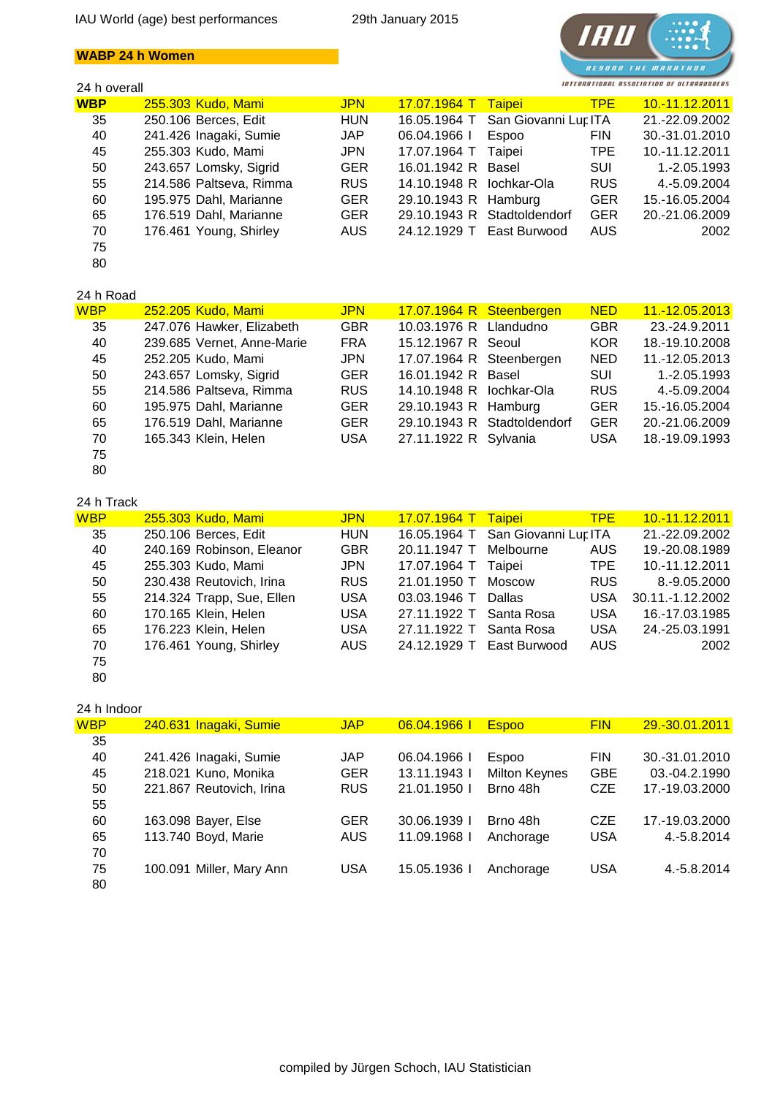## **WABP 24 h Women**

## 24 h overall



| <b>WBP</b> | 255.303 Kudo, Mami      | <b>JPN</b> | <mark>17.07.1964 T</mark> | <b>Taipei</b>               | <b>TPE</b> | 10.-11.12.2011 |
|------------|-------------------------|------------|---------------------------|-----------------------------|------------|----------------|
| 35         | 250.106 Berces, Edit    | <b>HUN</b> | 16.05.1964 T              | San Giovanni Lur ITA        |            | 21.-22.09.2002 |
| 40         | 241.426 Inagaki, Sumie  | <b>JAP</b> | 06.04.1966                | <b>Espoo</b>                | <b>FIN</b> | 30.-31.01.2010 |
| 45         | 255.303 Kudo, Mami      | <b>JPN</b> | 17.07.1964 T              | Taipei                      | TPE        | 10.-11.12.2011 |
| 50         | 243.657 Lomsky, Sigrid  | <b>GER</b> | 16.01.1942 R              | Basel                       | SUI        | 1.-2.05.1993   |
| 55         | 214.586 Paltseva, Rimma | <b>RUS</b> | 14.10.1948 R              | lochkar-Ola                 | RUS.       | 4.-5.09.2004   |
| 60         | 195.975 Dahl, Marianne  | <b>GER</b> | 29.10.1943 R Hamburg      |                             | <b>GER</b> | 15.-16.05.2004 |
| 65         | 176.519 Dahl, Marianne  | <b>GER</b> |                           | 29.10.1943 R Stadtoldendorf | <b>GER</b> | 20.-21.06.2009 |
| 70         | 176.461 Young, Shirley  | <b>AUS</b> | 24.12.1929 T              | East Burwood                | AUS        | 2002           |
| 75         |                         |            |                           |                             |            |                |
| 80         |                         |            |                           |                             |            |                |

## 24 h Road

| <b>WBP</b> | 252.205 Kudo, Mami         | <b>JPN</b> | 17.07.1964 R Steenbergen |                             | <b>NED</b> | 11.-12.05.2013 |
|------------|----------------------------|------------|--------------------------|-----------------------------|------------|----------------|
| 35         | 247.076 Hawker, Elizabeth  | <b>GBR</b> | 10.03.1976 R Llandudno   |                             | <b>GBR</b> | 23.-24.9.2011  |
| 40         | 239.685 Vernet, Anne-Marie | <b>FRA</b> | 15.12.1967 R Seoul       |                             | <b>KOR</b> | 18.-19.10.2008 |
| 45         | 252.205 Kudo, Mami         | <b>JPN</b> | 17.07.1964 R Steenbergen |                             | <b>NED</b> | 11.-12.05.2013 |
| 50         | 243.657 Lomsky, Sigrid     | <b>GER</b> | 16.01.1942 R Basel       |                             | <b>SUI</b> | 1.-2.05.1993   |
| 55         | 214.586 Paltseva, Rimma    | <b>RUS</b> | 14.10.1948 R lochkar-Ola |                             | <b>RUS</b> | 4.-5.09.2004   |
| 60         | 195.975 Dahl, Marianne     | <b>GER</b> | 29.10.1943 R Hamburg     |                             | <b>GER</b> | 15.-16.05.2004 |
| 65         | 176.519 Dahl, Marianne     | <b>GER</b> |                          | 29.10.1943 R Stadtoldendorf | <b>GER</b> | 20.-21.06.2009 |
| 70         | 165.343 Klein, Helen       | <b>USA</b> | 27.11.1922 R Sylvania    |                             | <b>USA</b> | 18.-19.09.1993 |
| 75         |                            |            |                          |                             |            |                |

# 80

| 24 h Track |                           |            |                           |                                   |            |                  |
|------------|---------------------------|------------|---------------------------|-----------------------------------|------------|------------------|
| <b>WBP</b> | 255.303 Kudo, Mami        | <b>JPN</b> | <mark>17.07.1964 T</mark> | <b>Taipei</b>                     | <b>TPE</b> | 10.-11.12.2011   |
| 35         | 250.106 Berces, Edit      | <b>HUN</b> |                           | 16.05.1964 T San Giovanni Lur ITA |            | 21.-22.09.2002   |
| 40         | 240.169 Robinson, Eleanor | <b>GBR</b> | 20.11.1947 T              | Melbourne                         | <b>AUS</b> | 19.-20.08.1989   |
| 45         | 255.303 Kudo, Mami        | <b>JPN</b> | 17.07.1964 T              | Taipei                            | TPE        | 10.-11.12.2011   |
| 50         | 230.438 Reutovich, Irina  | <b>RUS</b> | 21.01.1950 T              | Moscow                            | <b>RUS</b> | 8.-9.05.2000     |
| 55         | 214.324 Trapp, Sue, Ellen | <b>USA</b> | 03.03.1946 T              | Dallas                            | <b>USA</b> | 30.11.-1.12.2002 |
| 60         | 170.165 Klein, Helen      | <b>USA</b> | 27.11.1922 T Santa Rosa   |                                   | <b>USA</b> | 16.-17.03.1985   |
| 65         | 176.223 Klein, Helen      | <b>USA</b> | 27.11.1922 T Santa Rosa   |                                   | <b>USA</b> | 24.-25.03.1991   |
| 70         | 176.461 Young, Shirley    | AUS.       | 24.12.1929 T East Burwood |                                   | <b>AUS</b> | 2002             |
| 75         |                           |            |                           |                                   |            |                  |

80

| 24 h Indoor |                          |            |            |                      |            |                |
|-------------|--------------------------|------------|------------|----------------------|------------|----------------|
| <b>WBP</b>  | 240.631 Inagaki, Sumie   | <b>JAP</b> | 06.04.1966 | <b>Espoo</b>         | <b>FIN</b> | 29.-30.01.2011 |
| 35          |                          |            |            |                      |            |                |
| 40          | 241.426 Inagaki, Sumie   | <b>JAP</b> | 06.04.1966 | Espoo                | <b>FIN</b> | 30.-31.01.2010 |
| 45          | 218.021 Kuno, Monika     | <b>GER</b> | 13.11.1943 | <b>Milton Keynes</b> | <b>GBE</b> | 03.-04.2.1990  |
| 50          | 221.867 Reutovich, Irina | <b>RUS</b> | 21.01.1950 | Brno 48h             | <b>CZE</b> | 17.-19.03.2000 |
| 55          |                          |            |            |                      |            |                |
| 60          | 163.098 Bayer, Else      | <b>GER</b> | 30.06.1939 | Brno 48h             | <b>CZE</b> | 17.-19.03.2000 |
| 65          | 113.740 Boyd, Marie      | AUS.       | 11.09.1968 | Anchorage            | <b>USA</b> | 4.-5.8.2014    |
| 70          |                          |            |            |                      |            |                |
| 75          | 100.091 Miller, Mary Ann | <b>USA</b> | 15.05.1936 | Anchorage            | <b>USA</b> | 4.-5.8.2014    |
| 80          |                          |            |            |                      |            |                |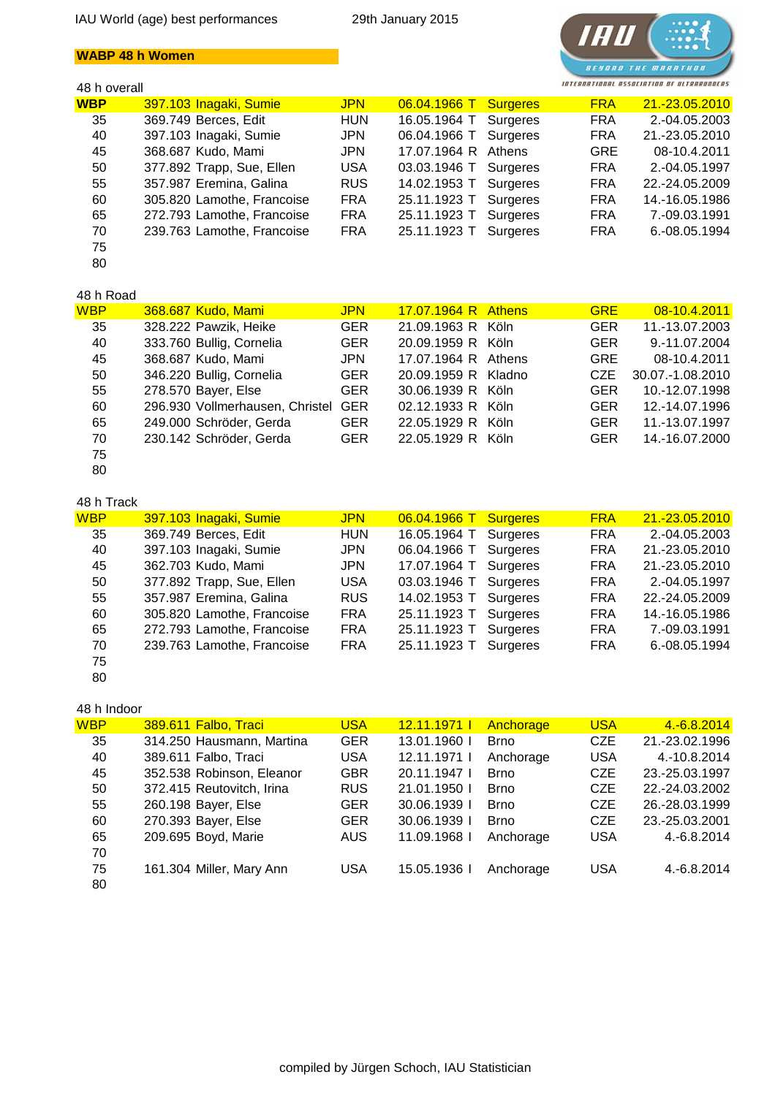## **WABP 48 h Women**

#### 48 h overall



| <b>WBP</b> | 397.103 Inagaki, Sumie     | <b>JPN</b> | 06.04.1966 T        | <b>Surgeres</b> | <b>FRA</b> | 21.-23.05.2010 |
|------------|----------------------------|------------|---------------------|-----------------|------------|----------------|
| 35         | 369.749 Berces, Edit       | <b>HUN</b> | 16.05.1964 T        | Surgeres        | <b>FRA</b> | 2.-04.05.2003  |
| 40         | 397.103 Inagaki, Sumie     | <b>JPN</b> | 06.04.1966 T        | Surgeres        | <b>FRA</b> | 21.-23.05.2010 |
| 45         | 368.687 Kudo, Mami         | <b>JPN</b> | 17.07.1964 R Athens |                 | <b>GRE</b> | 08-10.4.2011   |
| 50         | 377.892 Trapp, Sue, Ellen  | <b>USA</b> | 03.03.1946 T        | Surgeres        | <b>FRA</b> | 2.-04.05.1997  |
| 55         | 357.987 Eremina, Galina    | <b>RUS</b> | 14.02.1953 T        | Surgeres        | <b>FRA</b> | 22.-24.05.2009 |
| 60         | 305.820 Lamothe, Francoise | <b>FRA</b> | 25.11.1923 T        | Surgeres        | <b>FRA</b> | 14.-16.05.1986 |
| 65         | 272.793 Lamothe, Francoise | <b>FRA</b> | 25.11.1923 T        | Surgeres        | <b>FRA</b> | 7.-09.03.1991  |
| 70         | 239.763 Lamothe, Francoise | <b>FRA</b> | 25.11.1923 T        | Surgeres        | <b>FRA</b> | 6.-08.05.1994  |
| 75         |                            |            |                     |                 |            |                |
| 80         |                            |            |                     |                 |            |                |

## 48 h Road

| <b>WBP</b> | 368.687 Kudo, Mami                  | <b>JPN</b> | 17.07.1964 R Athens | <b>GRE</b> | 08-10.4.2011     |
|------------|-------------------------------------|------------|---------------------|------------|------------------|
| 35         | 328.222 Pawzik, Heike               | <b>GER</b> | 21.09.1963 R Köln   | <b>GER</b> | 11.-13.07.2003   |
| 40         | 333.760 Bullig, Cornelia            | <b>GER</b> | 20.09.1959 R Köln   | <b>GER</b> | 9.-11.07.2004    |
| 45         | 368.687 Kudo, Mami                  | <b>JPN</b> | 17.07.1964 R Athens | <b>GRE</b> | 08-10.4.2011     |
| 50         | 346.220 Bullig, Cornelia            | <b>GER</b> | 20.09.1959 R Kladno | <b>CZE</b> | 30.07.-1.08.2010 |
| 55         | 278.570 Bayer, Else                 | <b>GER</b> | 30.06.1939 R Köln   | <b>GER</b> | 10.-12.07.1998   |
| 60         | 296.930 Vollmerhausen, Christel GER |            | 02.12.1933 R Köln   | <b>GER</b> | 12.-14.07.1996   |
| 65         | 249.000 Schröder, Gerda             | <b>GER</b> | 22.05.1929 R Köln   | <b>GER</b> | 11.-13.07.1997   |
| 70         | 230.142 Schröder, Gerda             | <b>GER</b> | 22.05.1929 R Köln   | <b>GER</b> | 14.-16.07.2000   |
| 75         |                                     |            |                     |            |                  |

# 80

| 48 h Track |                            |            |                       |                 |            |                |
|------------|----------------------------|------------|-----------------------|-----------------|------------|----------------|
| <b>WBP</b> | 397.103 Inagaki, Sumie     | <b>JPN</b> | $06.04.1966$ T        | <b>Surgeres</b> | <b>FRA</b> | 21.-23.05.2010 |
| 35         | 369.749 Berces, Edit       | <b>HUN</b> | 16.05.1964 T          | Surgeres        | <b>FRA</b> | 2.-04.05.2003  |
| 40         | 397.103 Inagaki, Sumie     | <b>JPN</b> | 06.04.1966 T          | Surgeres        | <b>FRA</b> | 21.-23.05.2010 |
| 45         | 362.703 Kudo, Mami         | <b>JPN</b> | 17.07.1964 T          | Surgeres        | <b>FRA</b> | 21.-23.05.2010 |
| 50         | 377.892 Trapp, Sue, Ellen  | <b>USA</b> | 03.03.1946 T Surgeres |                 | <b>FRA</b> | 2.-04.05.1997  |
| 55         | 357.987 Eremina, Galina    | <b>RUS</b> | 14.02.1953 T Surgeres |                 | <b>FRA</b> | 22.-24.05.2009 |
| 60         | 305.820 Lamothe, Francoise | <b>FRA</b> | 25.11.1923 T Surgeres |                 | <b>FRA</b> | 14.-16.05.1986 |
| 65         | 272.793 Lamothe, Francoise | <b>FRA</b> | 25.11.1923 T Surgeres |                 | <b>FRA</b> | 7.-09.03.1991  |
| 70         | 239.763 Lamothe, Francoise | <b>FRA</b> | 25.11.1923 T          | Surgeres        | <b>FRA</b> | 6.-08.05.1994  |
| 75         |                            |            |                       |                 |            |                |

80

## 48 h Indoor

| <b>WBP</b> | 389.611 Falbo, Traci      | <b>USA</b> | <u>12.11.1971  </u> | Anchorage   | <b>USA</b> | 4. - 6.8. 2014 |
|------------|---------------------------|------------|---------------------|-------------|------------|----------------|
| 35         | 314.250 Hausmann, Martina | <b>GER</b> | 13.01.1960 I        | <b>Brno</b> | <b>CZE</b> | 21.-23.02.1996 |
| 40         | 389.611 Falbo, Traci      | <b>USA</b> | 12.11.1971 L        | Anchorage   | <b>USA</b> | 4.-10.8.2014   |
| 45         | 352.538 Robinson, Eleanor | <b>GBR</b> | 20.11.1947          | <b>Brno</b> | <b>CZE</b> | 23.-25.03.1997 |
| 50         | 372.415 Reutovitch, Irina | <b>RUS</b> | 21.01.1950          | <b>Brno</b> | <b>CZE</b> | 22.-24.03.2002 |
| 55         | 260.198 Bayer, Else       | <b>GER</b> | 30.06.1939          | <b>Brno</b> | <b>CZE</b> | 26.-28.03.1999 |
| 60         | 270.393 Bayer, Else       | <b>GER</b> | 30.06.1939          | <b>Brno</b> | <b>CZE</b> | 23.-25.03.2001 |
| 65         | 209.695 Boyd, Marie       | AUS        | 11.09.1968          | Anchorage   | <b>USA</b> | 4.-6.8.2014    |
| 70         |                           |            |                     |             |            |                |
| 75         | 161.304 Miller, Mary Ann  | <b>USA</b> | 15.05.1936          | Anchorage   | <b>USA</b> | 4.-6.8.2014    |
| 80         |                           |            |                     |             |            |                |
|            |                           |            |                     |             |            |                |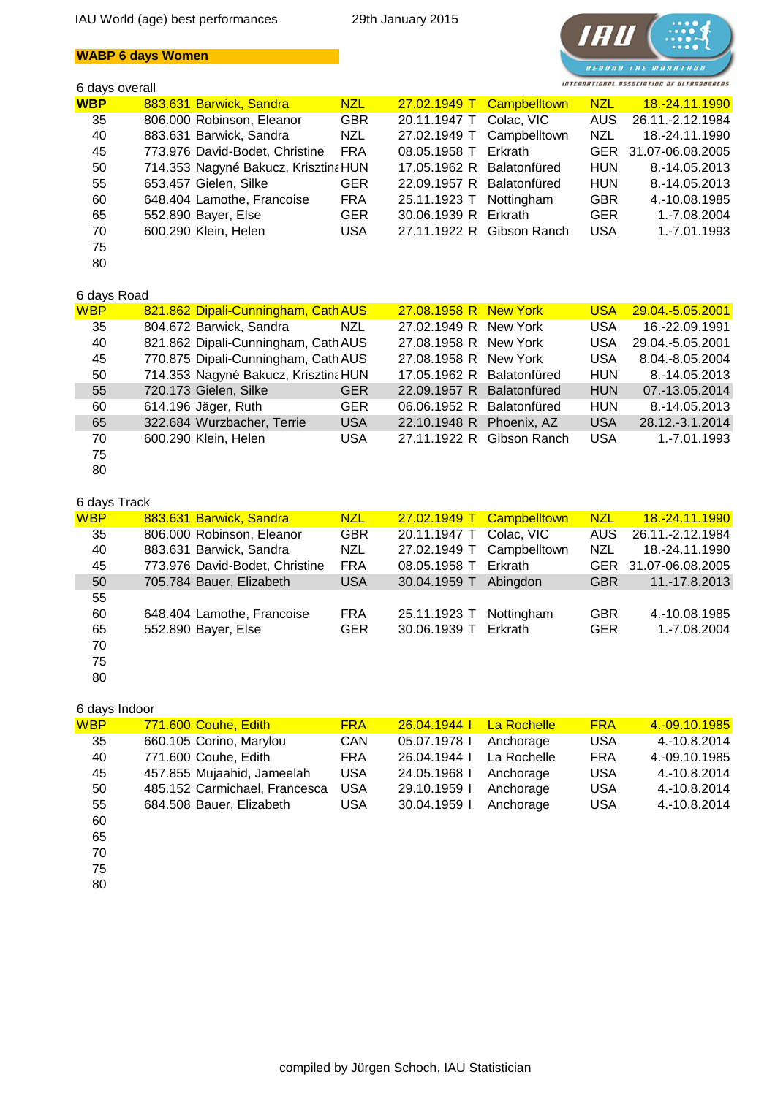## **WABP 6 days Women**

## 6 days overall



| <b>WBP</b> | 883.631 Barwick, Sandra              | NZL        |                           | 27.02.1949 T Campbelltown | NZL N      | <u>18.-24.11.1990</u> |
|------------|--------------------------------------|------------|---------------------------|---------------------------|------------|-----------------------|
| 35         | 806.000 Robinson, Eleanor            | <b>GBR</b> |                           | 20.11.1947 T Colac, VIC   | AUS        | 26.11.-2.12.1984      |
| 40         | 883.631 Barwick, Sandra              | NZL        |                           | 27.02.1949 T Campbelltown | <b>NZL</b> | 18.-24.11.1990        |
| 45         | 773.976 David-Bodet, Christine       | FRA        | 08.05.1958 T Erkrath      |                           |            | GER 31.07-06.08.2005  |
| 50         | 714.353 Nagyné Bakucz, Krisztina HUN |            | 17.05.1962 R Balatonfüred |                           | <b>HUN</b> | 8.-14.05.2013         |
| 55         | 653.457 Gielen, Silke                | <b>GER</b> | 22.09.1957 R Balatonfüred |                           | <b>HUN</b> | 8.-14.05.2013         |
| 60         | 648.404 Lamothe, Francoise           | <b>FRA</b> | 25.11.1923 T Nottingham   |                           | <b>GBR</b> | 4.-10.08.1985         |
| 65         | 552.890 Bayer, Else                  | <b>GER</b> | 30.06.1939 R Erkrath      |                           | <b>GER</b> | 1.-7.08.2004          |
| 70         | 600.290 Klein, Helen                 | <b>USA</b> |                           | 27.11.1922 R Gibson Ranch | USA        | 1.-7.01.1993          |
| 75         |                                      |            |                           |                           |            |                       |
| 80         |                                      |            |                           |                           |            |                       |

## 6 days Road

| <b>WBP</b> | 821.862 Dipali-Cunningham, Cath AUS  |            | 27.08.1958 R New York     |                           | <b>USA</b> | 29.04.-5.05.2001 |
|------------|--------------------------------------|------------|---------------------------|---------------------------|------------|------------------|
| 35         | 804.672 Barwick, Sandra              | NZL        | 27.02.1949 R New York     |                           | <b>USA</b> | 16.-22.09.1991   |
| 40         | 821.862 Dipali-Cunningham, Cath AUS  |            | 27.08.1958 R New York     |                           | <b>USA</b> | 29.04.-5.05.2001 |
| 45         | 770.875 Dipali-Cunningham, Cath AUS  |            | 27.08.1958 R New York     |                           | <b>USA</b> | 8.04.-8.05.2004  |
| 50         | 714.353 Nagyné Bakucz, Krisztina HUN |            | 17.05.1962 R Balatonfüred |                           | <b>HUN</b> | 8.-14.05.2013    |
| 55         | 720.173 Gielen, Silke                | <b>GER</b> | 22.09.1957 R Balatonfüred |                           | <b>HUN</b> | 07.-13.05.2014   |
| 60         | 614.196 Jäger, Ruth                  | <b>GER</b> | 06.06.1952 R Balatonfüred |                           | <b>HUN</b> | 8.-14.05.2013    |
| 65         | 322.684 Wurzbacher, Terrie           | <b>USA</b> | 22.10.1948 R Phoenix, AZ  |                           | <b>USA</b> | 28.12.-3.1.2014  |
| 70         | 600.290 Klein, Helen                 | <b>USA</b> |                           | 27.11.1922 R Gibson Ranch | <b>USA</b> | 1.-7.01.1993     |
| 75         |                                      |            |                           |                           |            |                  |

80

## 6 days Track

| <b>WBP</b> | 883.631 Barwick, Sandra        | <b>NZL</b> |                         | 27.02.1949 T Campbelltown | <b>NZL</b> | 18.-24.11.1990       |
|------------|--------------------------------|------------|-------------------------|---------------------------|------------|----------------------|
| 35         | 806.000 Robinson, Eleanor      | <b>GBR</b> | 20.11.1947 T Colac, VIC |                           | AUS.       | 26.11.-2.12.1984     |
| 40         | 883.631 Barwick, Sandra        | NZL        |                         | 27.02.1949 T Campbelltown | <b>NZL</b> | 18.-24.11.1990       |
| 45         | 773.976 David-Bodet, Christine | <b>FRA</b> | 08.05.1958 T            | Erkrath                   |            | GER 31.07-06.08.2005 |
| 50         | 705.784 Bauer, Elizabeth       | <b>USA</b> | 30.04.1959 T            | Abingdon                  | <b>GBR</b> | 11.-17.8.2013        |
| 55         |                                |            |                         |                           |            |                      |
| 60         | 648.404 Lamothe, Francoise     | <b>FRA</b> | 25.11.1923 T            | Nottingham                | <b>GBR</b> | 4.-10.08.1985        |
| 65         | 552.890 Bayer, Else            | <b>GER</b> | 30.06.1939 T            | Erkrath                   | <b>GER</b> | 1.-7.08.2004         |
| 70         |                                |            |                         |                           |            |                      |
| 75         |                                |            |                         |                           |            |                      |

80

#### 6 days Indoor

| <b>WBP</b> | 771.600 Couhe, Edith          | <b>FRA</b> | 26.04.1944   | La Rochelle | <b>FRA</b> | 4.-09.10.1985 |
|------------|-------------------------------|------------|--------------|-------------|------------|---------------|
| 35         | 660.105 Corino, Marylou       | CAN        | 05.07.1978   | Anchorage   | <b>USA</b> | 4.-10.8.2014  |
| 40         | 771.600 Couhe, Edith          | <b>FRA</b> | 26.04.1944   | La Rochelle | <b>FRA</b> | 4.-09.10.1985 |
| 45         | 457.855 Mujaahid, Jameelah    | <b>USA</b> | 24.05.1968   | Anchorage   | <b>USA</b> | 4.-10.8.2014  |
| 50         | 485.152 Carmichael, Francesca | <b>USA</b> | 29.10.1959   | Anchorage   | <b>USA</b> | 4.-10.8.2014  |
| 55         | 684.508 Bauer, Elizabeth      | <b>USA</b> | 30.04.1959 l | Anchorage   | <b>USA</b> | 4.-10.8.2014  |
| $\sim$     |                               |            |              |             |            |               |

60 65

- 70
- 75

80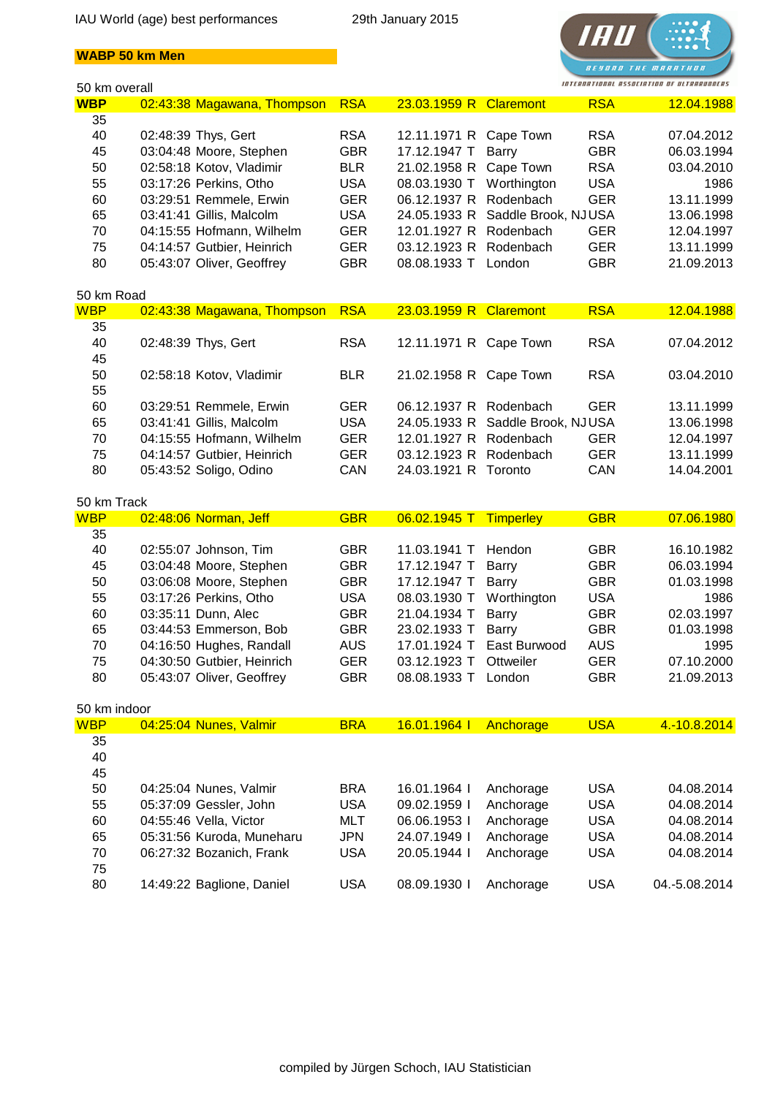



| 50 km overall |                             |            |                        |                                  |            | INTERNATIONAL ASSOCIATION OF ULTRARUNDERS |
|---------------|-----------------------------|------------|------------------------|----------------------------------|------------|-------------------------------------------|
| <b>WBP</b>    | 02:43:38 Magawana, Thompson | <b>RSA</b> | 23.03.1959 R Claremont |                                  | <b>RSA</b> | 12.04.1988                                |
| 35            |                             |            |                        |                                  |            |                                           |
| 40            | 02:48:39 Thys, Gert         | <b>RSA</b> | 12.11.1971 R           | Cape Town                        | <b>RSA</b> | 07.04.2012                                |
| 45            | 03:04:48 Moore, Stephen     | <b>GBR</b> | 17.12.1947 T           | Barry                            | <b>GBR</b> | 06.03.1994                                |
| 50            | 02:58:18 Kotov, Vladimir    | <b>BLR</b> | 21.02.1958 R           | Cape Town                        | <b>RSA</b> | 03.04.2010                                |
| 55            | 03:17:26 Perkins, Otho      | <b>USA</b> | 08.03.1930 T           | Worthington                      | <b>USA</b> | 1986                                      |
| 60            | 03:29:51 Remmele, Erwin     | <b>GER</b> | 06.12.1937 R           | Rodenbach                        | <b>GER</b> | 13.11.1999                                |
| 65            | 03:41:41 Gillis, Malcolm    | <b>USA</b> | 24.05.1933 R           | Saddle Brook, NJUSA              |            | 13.06.1998                                |
| 70            | 04:15:55 Hofmann, Wilhelm   | <b>GER</b> | 12.01.1927 R Rodenbach |                                  | <b>GER</b> | 12.04.1997                                |
| 75            | 04:14:57 Gutbier, Heinrich  | <b>GER</b> | 03.12.1923 R           | Rodenbach                        | <b>GER</b> | 13.11.1999                                |
| 80            | 05:43:07 Oliver, Geoffrey   | <b>GBR</b> | 08.08.1933 T           | London                           | <b>GBR</b> | 21.09.2013                                |
| 50 km Road    |                             |            |                        |                                  |            |                                           |
| <b>WBP</b>    | 02:43:38 Magawana, Thompson | <b>RSA</b> | 23.03.1959 R Claremont |                                  | <b>RSA</b> | 12.04.1988                                |
| 35            |                             |            |                        |                                  |            |                                           |
| 40            | 02:48:39 Thys, Gert         | <b>RSA</b> | 12.11.1971 R Cape Town |                                  | <b>RSA</b> | 07.04.2012                                |
| 45            |                             |            |                        |                                  |            |                                           |
| 50            | 02:58:18 Kotov, Vladimir    | <b>BLR</b> | 21.02.1958 R Cape Town |                                  | <b>RSA</b> | 03.04.2010                                |
| 55            |                             |            |                        |                                  |            |                                           |
| 60            | 03:29:51 Remmele, Erwin     | <b>GER</b> | 06.12.1937 R Rodenbach |                                  | <b>GER</b> | 13.11.1999                                |
| 65            | 03:41:41 Gillis, Malcolm    | <b>USA</b> |                        | 24.05.1933 R Saddle Brook, NJUSA |            | 13.06.1998                                |
| 70            | 04:15:55 Hofmann, Wilhelm   | <b>GER</b> | 12.01.1927 R Rodenbach |                                  | <b>GER</b> | 12.04.1997                                |
| 75            | 04:14:57 Gutbier, Heinrich  | <b>GER</b> | 03.12.1923 R           | Rodenbach                        | <b>GER</b> | 13.11.1999                                |
| 80            | 05:43:52 Soligo, Odino      | CAN        | 24.03.1921 R Toronto   |                                  | CAN        | 14.04.2001                                |
|               |                             |            |                        |                                  |            |                                           |
| 50 km Track   |                             |            |                        |                                  |            |                                           |
| <b>WBP</b>    | 02:48:06 Norman, Jeff       | <b>GBR</b> | 06.02.1945 T           | Timperley                        | <b>GBR</b> | 07.06.1980                                |
| 35<br>40      |                             |            |                        |                                  |            |                                           |
|               | 02:55:07 Johnson, Tim       | <b>GBR</b> | 11.03.1941 T           | Hendon                           | <b>GBR</b> | 16.10.1982                                |
| 45            | 03:04:48 Moore, Stephen     | <b>GBR</b> | 17.12.1947 T           | Barry                            | <b>GBR</b> | 06.03.1994                                |
| 50            | 03:06:08 Moore, Stephen     | <b>GBR</b> | 17.12.1947 T           | Barry                            | <b>GBR</b> | 01.03.1998                                |
| 55            | 03:17:26 Perkins, Otho      | <b>USA</b> | 08.03.1930 T           | Worthington                      | <b>USA</b> | 1986                                      |
| 60            | 03:35:11 Dunn, Alec         | <b>GBR</b> | 21.04.1934 T           | Barry                            | <b>GBR</b> | 02.03.1997                                |
| 65            | 03:44:53 Emmerson, Bob      | <b>GBR</b> | 23.02.1933 T           | Barry                            | <b>GBR</b> | 01.03.1998                                |
| 70            | 04:16:50 Hughes, Randall    | <b>AUS</b> | 17.01.1924 T           | East Burwood                     | <b>AUS</b> | 1995                                      |
| 75            | 04:30:50 Gutbier, Heinrich  | <b>GER</b> | 03.12.1923 T Ottweiler |                                  | <b>GER</b> | 07.10.2000                                |
| 80            | 05:43:07 Oliver, Geoffrey   | <b>GBR</b> | 08.08.1933 T London    |                                  | <b>GBR</b> | 21.09.2013                                |
| 50 km indoor  |                             |            |                        |                                  |            |                                           |
| <b>WBP</b>    | 04:25:04 Nunes, Valmir      | <b>BRA</b> | 16.01.1964             | Anchorage                        | <b>USA</b> | 4.-10.8.2014                              |
| 35            |                             |            |                        |                                  |            |                                           |
| 40            |                             |            |                        |                                  |            |                                           |
| 45            |                             |            |                        |                                  |            |                                           |
| 50            | 04:25:04 Nunes, Valmir      | <b>BRA</b> | 16.01.1964 l           | Anchorage                        | <b>USA</b> | 04.08.2014                                |
| 55            | 05:37:09 Gessler, John      | <b>USA</b> | 09.02.1959 l           | Anchorage                        | <b>USA</b> | 04.08.2014                                |
| 60            | 04:55:46 Vella, Victor      | <b>MLT</b> | 06.06.1953 l           | Anchorage                        | <b>USA</b> | 04.08.2014                                |
| 65            | 05:31:56 Kuroda, Muneharu   | JPN        | 24.07.1949 I           | Anchorage                        | <b>USA</b> | 04.08.2014                                |
| 70            | 06:27:32 Bozanich, Frank    | <b>USA</b> | 20.05.1944 l           | Anchorage                        | <b>USA</b> | 04.08.2014                                |
| 75            |                             |            |                        |                                  |            |                                           |
| 80            | 14:49:22 Baglione, Daniel   | <b>USA</b> | 08.09.1930             | Anchorage                        | <b>USA</b> | 04.-5.08.2014                             |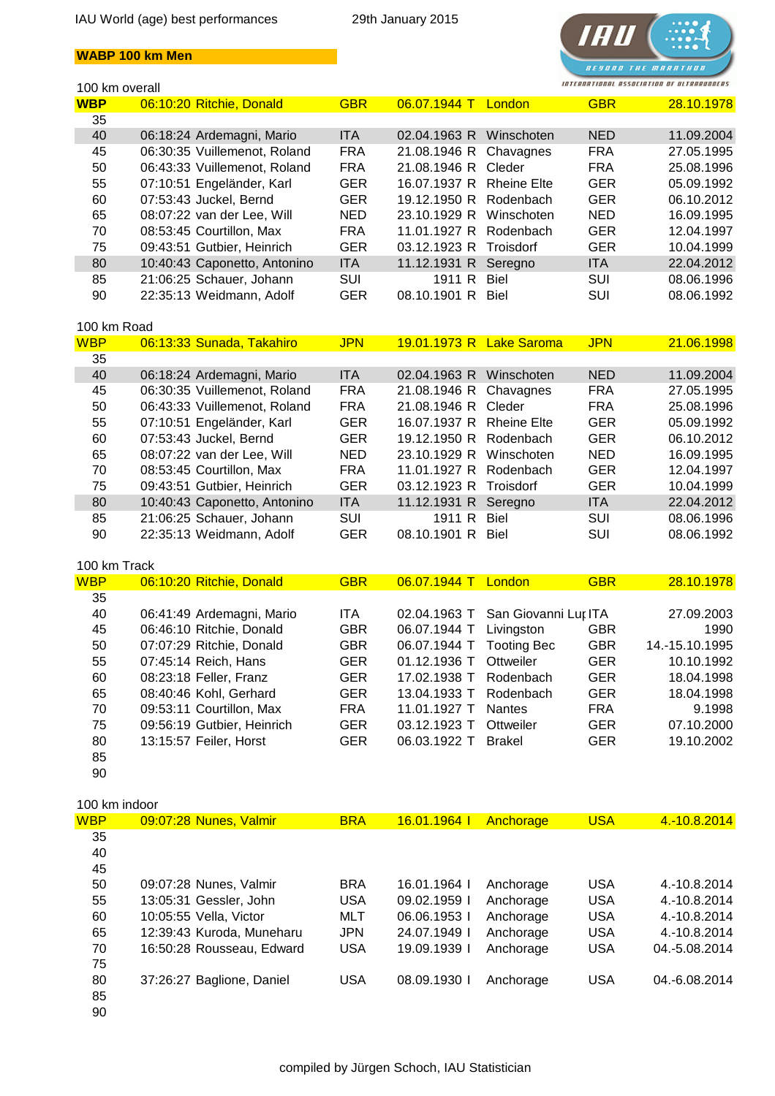



| 100 km overall |                              |            |                          |                    | INTERNATIONAL ASSOCIATION OF ULTRARUNDERS |            |
|----------------|------------------------------|------------|--------------------------|--------------------|-------------------------------------------|------------|
| <b>WBP</b>     | 06:10:20 Ritchie, Donald     | <b>GBR</b> | 06.07.1944 T London      |                    | <b>GBR</b>                                | 28.10.1978 |
| 35             |                              |            |                          |                    |                                           |            |
| 40             | 06:18:24 Ardemagni, Mario    | <b>ITA</b> | 02.04.1963 R             | Winschoten         | <b>NED</b>                                | 11.09.2004 |
| 45             | 06:30:35 Vuillemenot, Roland | <b>FRA</b> | 21.08.1946 R             | Chavagnes          | <b>FRA</b>                                | 27.05.1995 |
| 50             | 06:43:33 Vuillemenot, Roland | <b>FRA</b> | 21.08.1946 R             | Cleder             | <b>FRA</b>                                | 25.08.1996 |
| 55             | 07:10:51 Engeländer, Karl    | <b>GER</b> | 16.07.1937 R             | <b>Rheine Elte</b> | <b>GER</b>                                | 05.09.1992 |
| 60             | 07:53:43 Juckel, Bernd       | <b>GER</b> | 19.12.1950 R             | Rodenbach          | <b>GER</b>                                | 06.10.2012 |
| 65             | 08:07:22 van der Lee, Will   | <b>NED</b> | 23.10.1929 R             | Winschoten         | <b>NED</b>                                | 16.09.1995 |
| 70             | 08:53:45 Courtillon, Max     | <b>FRA</b> | 11.01.1927 R             | Rodenbach          | <b>GER</b>                                | 12.04.1997 |
| 75             | 09:43:51 Gutbier, Heinrich   | <b>GER</b> | 03.12.1923 R             | <b>Troisdorf</b>   | <b>GER</b>                                | 10.04.1999 |
| 80             | 10:40:43 Caponetto, Antonino | <b>ITA</b> | 11.12.1931 R             | Seregno            | <b>ITA</b>                                | 22.04.2012 |
| 85             | 21:06:25 Schauer, Johann     | <b>SUI</b> | 1911 R                   | <b>Biel</b>        | <b>SUI</b>                                | 08.06.1996 |
| 90             | 22:35:13 Weidmann, Adolf     | <b>GER</b> | 08.10.1901 R             | Biel               | <b>SUI</b>                                | 08.06.1992 |
|                |                              |            |                          |                    |                                           |            |
| 100 km Road    |                              |            |                          |                    |                                           |            |
| <b>WBP</b>     | 06:13:33 Sunada, Takahiro    | <b>JPN</b> | 19.01.1973 R Lake Saroma |                    | <b>JPN</b>                                | 21.06.1998 |
| 35             |                              |            |                          |                    |                                           |            |
| 40             | 06:18:24 Ardemagni, Mario    | <b>ITA</b> | 02.04.1963 R             | Winschoten         | <b>NED</b>                                | 11.09.2004 |
| 45             | 06:30:35 Vuillemenot, Roland | <b>FRA</b> | 21.08.1946 R             | Chavagnes          | <b>FRA</b>                                | 27.05.1995 |
| 50             | 06:43:33 Vuillemenot, Roland | <b>FRA</b> | 21.08.1946 R             | Cleder             | <b>FRA</b>                                | 25.08.1996 |
| 55             | 07:10:51 Engeländer, Karl    | <b>GER</b> | 16.07.1937 R             | <b>Rheine Elte</b> | <b>GER</b>                                | 05.09.1992 |
| 60             | 07:53:43 Juckel, Bernd       | <b>GER</b> | 19.12.1950 R             | Rodenbach          | <b>GER</b>                                | 06.10.2012 |
| 65             | 08:07:22 van der Lee, Will   | <b>NED</b> | 23.10.1929 R             | Winschoten         | NED.                                      | 16.09.1995 |
| 70             | 08:53:45 Courtillon, Max     | <b>FRA</b> | 11.01.1927 R             | Rodenbach          | <b>GER</b>                                | 12.04.1997 |

| -85 | 21:06:25 Schauer, Johann | SUI        | 1911 R Biel       | SUI | 08.06.1996 |
|-----|--------------------------|------------|-------------------|-----|------------|
| 90  | 22:35:13 Weidmann, Adolf | <b>GER</b> | 08.10.1901 R Biel | SUI | 08.06.1992 |
|     |                          |            |                   |     |            |

| 100 km Track |                            |            |                |                      |            |                |
|--------------|----------------------------|------------|----------------|----------------------|------------|----------------|
| <b>WBP</b>   | 06:10:20 Ritchie, Donald   | <b>GBR</b> | 06.07.1944 T   | London <sup>'</sup>  | <b>GBR</b> | 28.10.1978     |
| 35           |                            |            |                |                      |            |                |
| 40           | 06:41:49 Ardemagni, Mario  | <b>ITA</b> | 02.04.1963 T   | San Giovanni Lur ITA |            | 27.09.2003     |
| 45           | 06:46:10 Ritchie, Donald   | <b>GBR</b> | 06.07.1944 T   | Livingston           | <b>GBR</b> | 1990           |
| 50           | 07:07:29 Ritchie, Donald   | <b>GBR</b> | 06.07.1944 T   | <b>Tooting Bec</b>   | <b>GBR</b> | 14.-15.10.1995 |
| 55           | 07:45:14 Reich, Hans       | <b>GER</b> | $01.12.1936$ T | Ottweiler            | <b>GER</b> | 10.10.1992     |
| 60           | 08:23:18 Feller, Franz     | <b>GER</b> | 17.02.1938 T   | Rodenbach            | <b>GER</b> | 18.04.1998     |
| 65           | 08:40:46 Kohl, Gerhard     | <b>GER</b> | 13.04.1933 T   | Rodenbach            | <b>GER</b> | 18.04.1998     |
| 70           | 09:53:11 Courtillon, Max   | <b>FRA</b> | 11.01.1927 T   | <b>Nantes</b>        | <b>FRA</b> | 9.1998         |
| 75           | 09:56:19 Gutbier, Heinrich | <b>GER</b> | 03.12.1923 T   | Ottweiler            | <b>GER</b> | 07.10.2000     |
| 80           | 13:15:57 Feiler, Horst     | <b>GER</b> | 06.03.1922 T   | <b>Brakel</b>        | <b>GER</b> | 19.10.2002     |
| 85           |                            |            |                |                      |            |                |
| 90           |                            |            |                |                      |            |                |

75 09:43:51 Gutbier, Heinrich GER 03.12.1923 R Troisdorf GER 10.04.1999 80 10:40:43 Caponetto, Antonino ITA 11.12.1931 R Seregno ITA 22.04.2012

#### 100 km indoor

| <b>WBP</b> | 09:07:28 Nunes, Valmir    | <b>BRA</b> | <mark>16.01.1964 l</mark> | Anchorage | <b>USA</b> | 4.-10.8.2014  |
|------------|---------------------------|------------|---------------------------|-----------|------------|---------------|
|            |                           |            |                           |           |            |               |
| 35         |                           |            |                           |           |            |               |
| 40         |                           |            |                           |           |            |               |
| 45         |                           |            |                           |           |            |               |
| 50         | 09:07:28 Nunes, Valmir    | <b>BRA</b> | 16.01.1964 l              | Anchorage | <b>USA</b> | 4.-10.8.2014  |
| 55         | 13:05:31 Gessler, John    | <b>USA</b> | 09.02.1959                | Anchorage | <b>USA</b> | 4.-10.8.2014  |
| 60         | 10:05:55 Vella, Victor    | <b>MLT</b> | 06.06.1953                | Anchorage | <b>USA</b> | 4.-10.8.2014  |
| 65         | 12:39:43 Kuroda, Muneharu | <b>JPN</b> | 24.07.1949                | Anchorage | <b>USA</b> | 4.-10.8.2014  |
| 70         | 16:50:28 Rousseau, Edward | <b>USA</b> | 19.09.1939 l              | Anchorage | <b>USA</b> | 04.-5.08.2014 |
| 75         |                           |            |                           |           |            |               |
| 80         | 37:26:27 Baglione, Daniel | <b>USA</b> | 08.09.1930                | Anchorage | <b>USA</b> | 04.-6.08.2014 |
| 85         |                           |            |                           |           |            |               |
| 90         |                           |            |                           |           |            |               |
|            |                           |            |                           |           |            |               |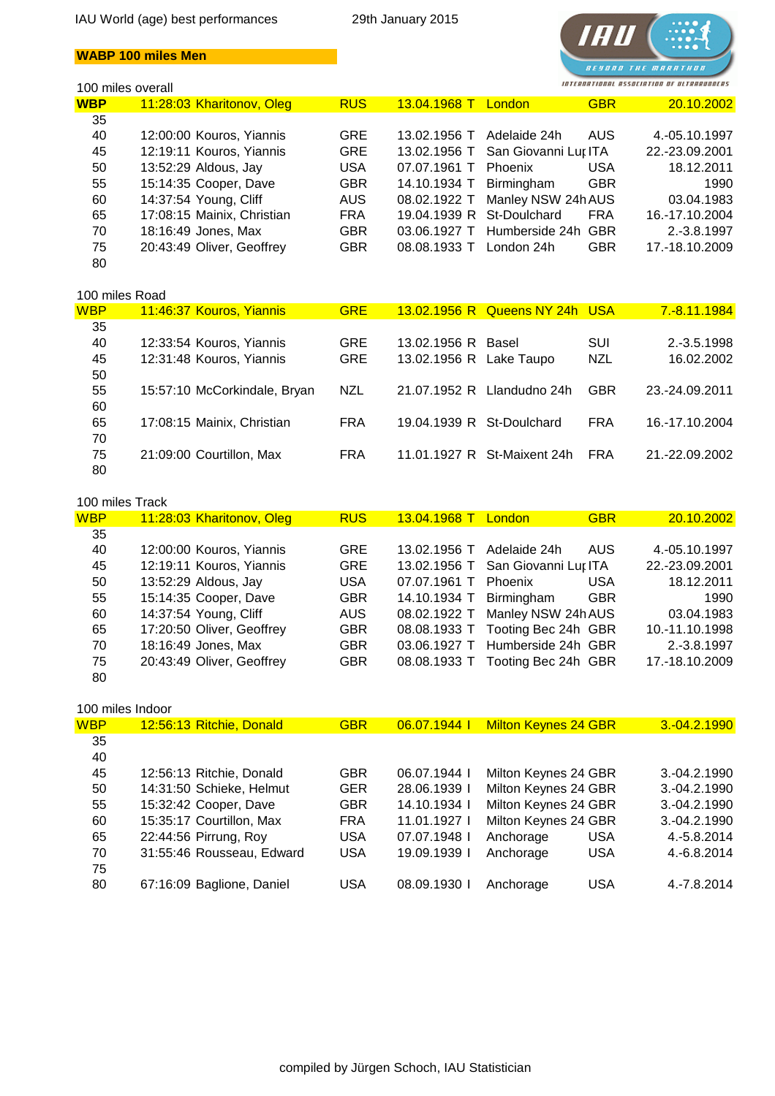## **WABP 100 miles Men**

# TA. *BESONO THE MARATHON* INTERNATIONAL ASSOCIATION OF ULTRARUNDERS

|            | 100 miles overall          |            |                           |                      |            | ASSOCIATION OF ULTRARUNDERS |
|------------|----------------------------|------------|---------------------------|----------------------|------------|-----------------------------|
| <b>WBP</b> | 11:28:03 Kharitonov, Oleg  | <b>RUS</b> | 13.04.1968 T              | London               | <b>GBR</b> | 20.10.2002                  |
| 35         |                            |            |                           |                      |            |                             |
| 40         | 12:00:00 Kouros, Yiannis   | <b>GRE</b> | 13.02.1956 T              | Adelaide 24h         | AUS        | 4.-05.10.1997               |
| 45         | 12:19:11 Kouros, Yiannis   | <b>GRE</b> | 13.02.1956 T              | San Giovanni Lur ITA |            | 22.-23.09.2001              |
| 50         | 13:52:29 Aldous, Jay       | <b>USA</b> | 07.07.1961 T              | Phoenix              | USA        | 18.12.2011                  |
| 55         | 15:14:35 Cooper, Dave      | <b>GBR</b> | 14.10.1934 T              | Birmingham           | <b>GBR</b> | 1990                        |
| 60         | 14:37:54 Young, Cliff      | AUS.       | 08.02.1922 T              | Manley NSW 24h AUS   |            | 03.04.1983                  |
| 65         | 17:08:15 Mainix, Christian | <b>FRA</b> | 19.04.1939 R St-Doulchard |                      | <b>FRA</b> | 16.-17.10.2004              |
| 70         | 18:16:49 Jones, Max        | <b>GBR</b> | 03.06.1927 T              | Humberside 24h GBR   |            | 2.-3.8.1997                 |
| 75         | 20:43:49 Oliver, Geoffrey  | <b>GBR</b> | 08.08.1933 T              | London 24h           | <b>GBR</b> | 17.-18.10.2009              |
| 80         |                            |            |                           |                      |            |                             |

## 100 miles Road

| <b>WBP</b> | 11:46:37 Kouros, Yiannis     | <b>GRE</b> |                           | 13.02.1956 R Queens NY 24h USA |            | 7.-8.11.1984   |
|------------|------------------------------|------------|---------------------------|--------------------------------|------------|----------------|
| 35         |                              |            |                           |                                |            |                |
| 40         | 12:33:54 Kouros, Yiannis     | <b>GRE</b> | 13.02.1956 R Basel        |                                | <b>SUI</b> | $2.-3.5.1998$  |
| 45         | 12:31:48 Kouros, Yiannis     | <b>GRE</b> | 13.02.1956 R Lake Taupo   |                                | <b>NZL</b> | 16.02.2002     |
| 50         |                              |            |                           |                                |            |                |
| 55         | 15:57:10 McCorkindale, Bryan | <b>NZL</b> |                           | 21.07.1952 R Llandudno 24h     | <b>GBR</b> | 23.-24.09.2011 |
| 60         |                              |            |                           |                                |            |                |
| 65         | 17:08:15 Mainix, Christian   | <b>FRA</b> | 19.04.1939 R St-Doulchard |                                | <b>FRA</b> | 16.-17.10.2004 |
| 70         |                              |            |                           |                                |            |                |
| 75         | 21:09:00 Courtillon, Max     | <b>FRA</b> |                           | 11.01.1927 R St-Maixent 24h    | <b>FRA</b> | 21.-22.09.2002 |
| 80         |                              |            |                           |                                |            |                |
|            |                              |            |                           |                                |            |                |

#### 100 miles Track

| <b>WBP</b> | 11:28:03 Kharitonov, Oleg | <b>RUS</b> | 13.04.1968 T            | <b>GBR</b><br>London              | 20.10.2002     |
|------------|---------------------------|------------|-------------------------|-----------------------------------|----------------|
| 35         |                           |            |                         |                                   |                |
| 40         | 12:00:00 Kouros, Yiannis  | <b>GRE</b> | 13.02.1956 T            | <b>AUS</b><br>Adelaide 24h        | 4.-05.10.1997  |
| 45         | 12:19:11 Kouros, Yiannis  | <b>GRE</b> |                         | 13.02.1956 T San Giovanni Lur ITA | 22.-23.09.2001 |
| 50         | 13:52:29 Aldous, Jay      | <b>USA</b> | 07.07.1961 T            | <b>USA</b><br>Phoenix             | 18.12.2011     |
| 55         | 15:14:35 Cooper, Dave     | <b>GBR</b> | 14.10.1934 T Birmingham | <b>GBR</b>                        | 1990           |
| 60         | 14:37:54 Young, Cliff     | AUS        |                         | 08.02.1922 T Manley NSW 24h AUS   | 03.04.1983     |
| 65         | 17:20:50 Oliver, Geoffrey | <b>GBR</b> |                         | 08.08.1933 T Tooting Bec 24h GBR  | 10.-11.10.1998 |
| 70         | 18:16:49 Jones, Max       | <b>GBR</b> |                         | 03.06.1927 T Humberside 24h GBR   | 2.-3.8.1997    |
| 75         | 20:43:49 Oliver, Geoffrey | <b>GBR</b> |                         | 08.08.1933 T Tooting Bec 24h GBR  | 17.-18.10.2009 |
| 80         |                           |            |                         |                                   |                |

#### 100 miles Indoor

| <b>WBP</b> | 12:56:13 Ritchie, Donald  | <b>GBR</b> | 06.07.1944   | <b>Milton Keynes 24 GBR</b> | 3.-04.2.1990 |
|------------|---------------------------|------------|--------------|-----------------------------|--------------|
| 35         |                           |            |              |                             |              |
| 40         |                           |            |              |                             |              |
| 45         | 12:56:13 Ritchie, Donald  | <b>GBR</b> | 06.07.1944   | Milton Keynes 24 GBR        | 3.-04.2.1990 |
| 50         | 14:31:50 Schieke, Helmut  | <b>GER</b> | 28.06.1939   | Milton Keynes 24 GBR        | 3.-04.2.1990 |
| 55         | 15:32:42 Cooper, Dave     | <b>GBR</b> | 14.10.1934 L | Milton Keynes 24 GBR        | 3.-04.2.1990 |
| 60         | 15:35:17 Courtillon, Max  | <b>FRA</b> | 11.01.1927   | Milton Keynes 24 GBR        | 3.-04.2.1990 |
| 65         | 22:44:56 Pirrung, Roy     | <b>USA</b> | 07.07.1948   | Anchorage<br><b>USA</b>     | 4.-5.8.2014  |
| 70         | 31:55:46 Rousseau, Edward | <b>USA</b> | 19.09.1939 l | <b>USA</b><br>Anchorage     | 4.-6.8.2014  |
| 75         |                           |            |              |                             |              |
| 80         | 67:16:09 Baglione, Daniel | <b>USA</b> | 08.09.1930   | <b>USA</b><br>Anchorage     | 4.-7.8.2014  |
|            |                           |            |              |                             |              |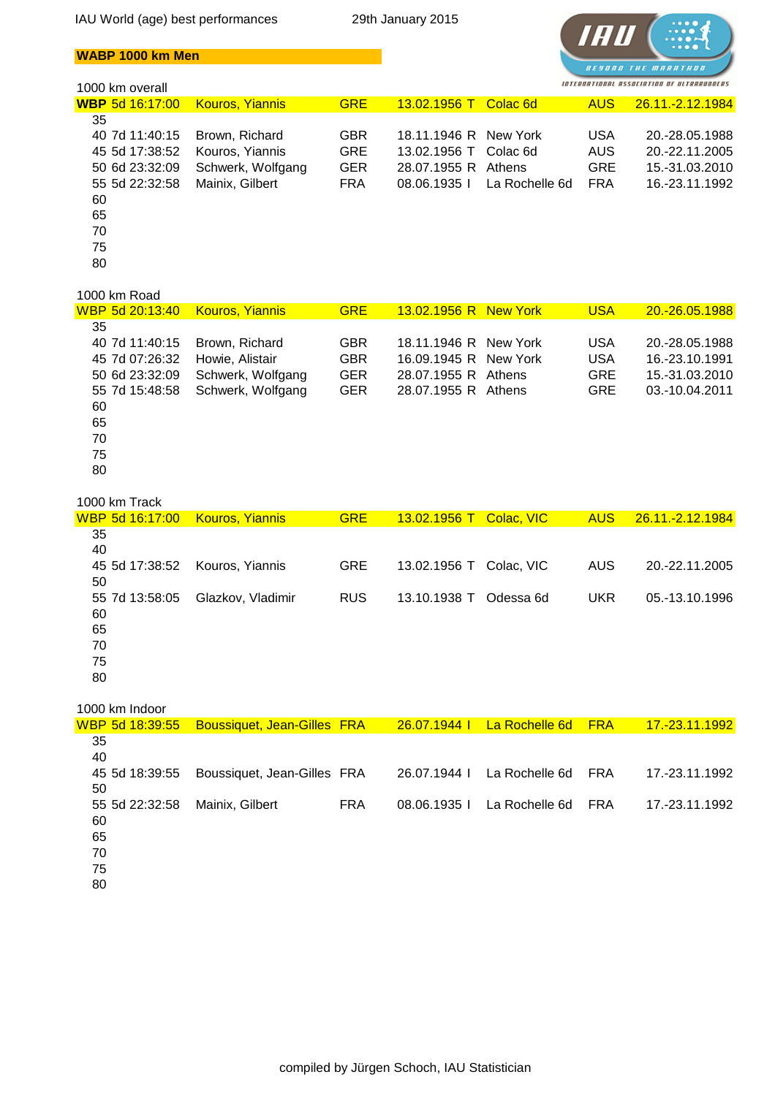

## **WABP 1000 km Men**

## 1000 km overall

| <b>Kouros, Yiannis</b> | <b>GRE</b> | 13.02.1956 T |                | <b>AUS</b>                                                                        | 26.11.-2.12.1984 |
|------------------------|------------|--------------|----------------|-----------------------------------------------------------------------------------|------------------|
|                        |            |              |                |                                                                                   |                  |
| Brown, Richard         | <b>GBR</b> |              |                | <b>USA</b>                                                                        | 20.-28.05.1988   |
| Kouros, Yiannis        | <b>GRE</b> |              |                | AUS                                                                               | 20.-22.11.2005   |
| Schwerk, Wolfgang      | <b>GER</b> |              |                | <b>GRE</b>                                                                        | 15.-31.03.2010   |
| Mainix, Gilbert        | <b>FRA</b> | 08.06.1935   | La Rochelle 6d | <b>FRA</b>                                                                        | 16.-23.11.1992   |
|                        |            |              |                |                                                                                   |                  |
|                        |            |              |                |                                                                                   |                  |
|                        |            |              |                |                                                                                   |                  |
|                        |            |              |                |                                                                                   |                  |
|                        |            |              |                |                                                                                   |                  |
|                        |            |              |                | Colac 6d<br>18.11.1946 R New York<br>13.02.1956 T Colac 6d<br>28.07.1955 R Athens |                  |

#### 1000 km Road

| WBP 5d 20:13:40_ | <b>Kouros, Yiannis</b> | <b>GRE</b> | 13.02.1956 R New York | <b>USA</b> | 20.-26.05.1988 |
|------------------|------------------------|------------|-----------------------|------------|----------------|
| 35               |                        |            |                       |            |                |
| 40 7d 11:40:15   | Brown, Richard         | <b>GBR</b> | 18.11.1946 R New York | <b>USA</b> | 20.-28.05.1988 |
| 45 7d 07:26:32   | Howie, Alistair        | <b>GBR</b> | 16.09.1945 R New York | <b>USA</b> | 16.-23.10.1991 |
| 50 6d 23:32:09   | Schwerk, Wolfgang      | <b>GER</b> | 28.07.1955 R Athens   | <b>GRE</b> | 15.-31.03.2010 |
| 55 7d 15:48:58   | Schwerk, Wolfgang      | <b>GER</b> | 28.07.1955 R Athens   | <b>GRE</b> | 03.-10.04.2011 |
| 60               |                        |            |                       |            |                |
| 65               |                        |            |                       |            |                |
| 70               |                        |            |                       |            |                |
| 75               |                        |            |                       |            |                |
| 80               |                        |            |                       |            |                |
|                  |                        |            |                       |            |                |

#### 1000 km Track

| <u> WBP 5d 16:17:00</u> | <b>Kouros, Yiannis</b> | <b>GRE</b> | 13.02.1956 T Colac, VIC |            | AUS        | 26.11.-2.12.1984 |
|-------------------------|------------------------|------------|-------------------------|------------|------------|------------------|
| 35                      |                        |            |                         |            |            |                  |
| 40                      |                        |            |                         |            |            |                  |
| 45 5d 17:38:52          | Kouros, Yiannis        | <b>GRE</b> | 13.02.1956 T            | Colac, VIC | AUS.       | 20.-22.11.2005   |
| 50                      |                        |            |                         |            |            |                  |
| 55 7d 13:58:05          | Glazkov, Vladimir      | <b>RUS</b> | 13.10.1938 T            | Odessa 6d  | <b>UKR</b> | 05.-13.10.1996   |
| 60                      |                        |            |                         |            |            |                  |
| 65                      |                        |            |                         |            |            |                  |
| 70                      |                        |            |                         |            |            |                  |
| 75                      |                        |            |                         |            |            |                  |
| 80                      |                        |            |                         |            |            |                  |
|                         |                        |            |                         |            |            |                  |

## 1000 km Indoor

| <u>WBP 5d 18:39:55</u> | <b>Boussiquet, Jean-Gilles FRA</b> |            | 26.07.1944 L | <b>La Rochelle 6d</b> | <b>FRA</b> | <u> 17.-23.11.1992  </u> |
|------------------------|------------------------------------|------------|--------------|-----------------------|------------|--------------------------|
| 35<br>40               |                                    |            |              |                       |            |                          |
| 45 5d 18:39:55<br>50   | Boussiquet, Jean-Gilles FRA        |            | 26.07.1944 L | La Rochelle 6d        | FRA        | 17.-23.11.1992           |
| 55 5d 22:32:58<br>60   | Mainix, Gilbert                    | <b>FRA</b> | 08.06.1935   | La Rochelle 6d        | <b>FRA</b> | 17.-23.11.1992           |
| 65                     |                                    |            |              |                       |            |                          |
| 70                     |                                    |            |              |                       |            |                          |
| 75                     |                                    |            |              |                       |            |                          |

75 80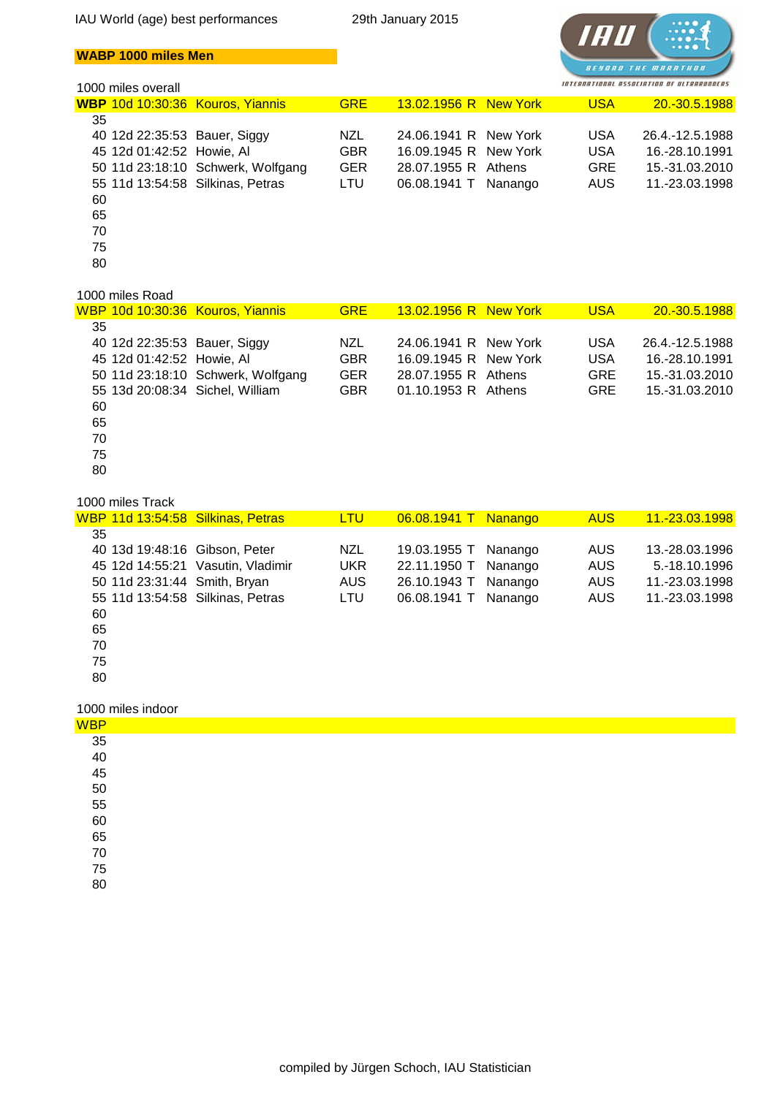

## **WABP 1000 miles Men**

#### 1000 miles overall

|  | <b>GRE</b>                                                                                                                                                             |  | <b>USA</b>                                                                                                                | 20.-30.5.1988   |
|--|------------------------------------------------------------------------------------------------------------------------------------------------------------------------|--|---------------------------------------------------------------------------------------------------------------------------|-----------------|
|  |                                                                                                                                                                        |  |                                                                                                                           |                 |
|  | <b>NZL</b>                                                                                                                                                             |  | USA                                                                                                                       | 26.4.-12.5.1988 |
|  | <b>GBR</b>                                                                                                                                                             |  | <b>USA</b>                                                                                                                | 16.-28.10.1991  |
|  | <b>GER</b>                                                                                                                                                             |  | <b>GRE</b>                                                                                                                | 15.-31.03.2010  |
|  | LTU                                                                                                                                                                    |  | AUS                                                                                                                       | 11.-23.03.1998  |
|  |                                                                                                                                                                        |  |                                                                                                                           |                 |
|  |                                                                                                                                                                        |  |                                                                                                                           |                 |
|  |                                                                                                                                                                        |  |                                                                                                                           |                 |
|  |                                                                                                                                                                        |  |                                                                                                                           |                 |
|  |                                                                                                                                                                        |  |                                                                                                                           |                 |
|  | WBP 10d 10:30:36 Kouros, Yiannis<br>40 12d 22:35:53 Bauer, Siggy<br>45 12d 01:42:52 Howie, AI<br>50 11d 23:18:10 Schwerk, Wolfgang<br>55 11d 13:54:58 Silkinas, Petras |  | 13.02.1956 R New York<br>24.06.1941 R New York<br>16.09.1945 R New York<br>28.07.1955 R Athens<br>Nanango<br>06.08.1941 T |                 |

## 1000 miles Road

|    |                              | WBP 10d 10:30:36 Kouros, Yiannis  | <b>GRE</b> | 13.02.1956 R New York | <b>USA</b> | 20.-30.5.1988   |
|----|------------------------------|-----------------------------------|------------|-----------------------|------------|-----------------|
| 35 |                              |                                   |            |                       |            |                 |
|    | 40 12d 22:35:53 Bauer, Siggy |                                   | <b>NZL</b> | 24.06.1941 R New York | <b>USA</b> | 26.4.-12.5.1988 |
|    | 45 12d 01:42:52 Howie, AI    |                                   | <b>GBR</b> | 16.09.1945 R New York | <b>USA</b> | 16.-28.10.1991  |
|    |                              | 50 11d 23:18:10 Schwerk, Wolfgang | <b>GER</b> | 28.07.1955 R Athens   | <b>GRE</b> | 15.-31.03.2010  |
|    |                              | 55 13d 20:08:34 Sichel, William   | <b>GBR</b> | 01.10.1953 R Athens   | <b>GRE</b> | 15.-31.03.2010  |
| 60 |                              |                                   |            |                       |            |                 |
| 65 |                              |                                   |            |                       |            |                 |
| 70 |                              |                                   |            |                       |            |                 |
| 75 |                              |                                   |            |                       |            |                 |
| 80 |                              |                                   |            |                       |            |                 |
|    |                              |                                   |            |                       |            |                 |

#### 1000 miles Track

|    |                              | WBP 11d 13:54:58 Silkinas, Petras | <b>LTU</b> | 06.08.1941 T Nanango |         | <b>AUS</b> | 11.-23.03.1998 |
|----|------------------------------|-----------------------------------|------------|----------------------|---------|------------|----------------|
| 35 |                              |                                   |            |                      |         |            |                |
|    |                              | 40 13d 19:48:16 Gibson, Peter     | <b>NZL</b> | 19.03.1955 T         | Nanango | <b>AUS</b> | 13.-28.03.1996 |
|    |                              | 45 12d 14:55:21 Vasutin, Vladimir | <b>UKR</b> | 22.11.1950 T         | Nanango | <b>AUS</b> | 5.-18.10.1996  |
|    | 50 11d 23:31:44 Smith, Bryan |                                   | <b>AUS</b> | 26.10.1943 T         | Nanango | <b>AUS</b> | 11.-23.03.1998 |
|    |                              | 55 11d 13:54:58 Silkinas, Petras  | LTU        | 06.08.1941 T         | Nanango | <b>AUS</b> | 11.-23.03.1998 |
| 60 |                              |                                   |            |                      |         |            |                |
| 65 |                              |                                   |            |                      |         |            |                |
| 70 |                              |                                   |            |                      |         |            |                |
| 75 |                              |                                   |            |                      |         |            |                |
| 80 |                              |                                   |            |                      |         |            |                |
|    |                              |                                   |            |                      |         |            |                |

#### 1000 miles indoor

| <b>WBP</b>                                         |  |
|----------------------------------------------------|--|
|                                                    |  |
|                                                    |  |
|                                                    |  |
|                                                    |  |
|                                                    |  |
| 35<br>40<br>45<br>50<br>55<br>60<br>65<br>70<br>75 |  |
|                                                    |  |
|                                                    |  |
|                                                    |  |
| 80                                                 |  |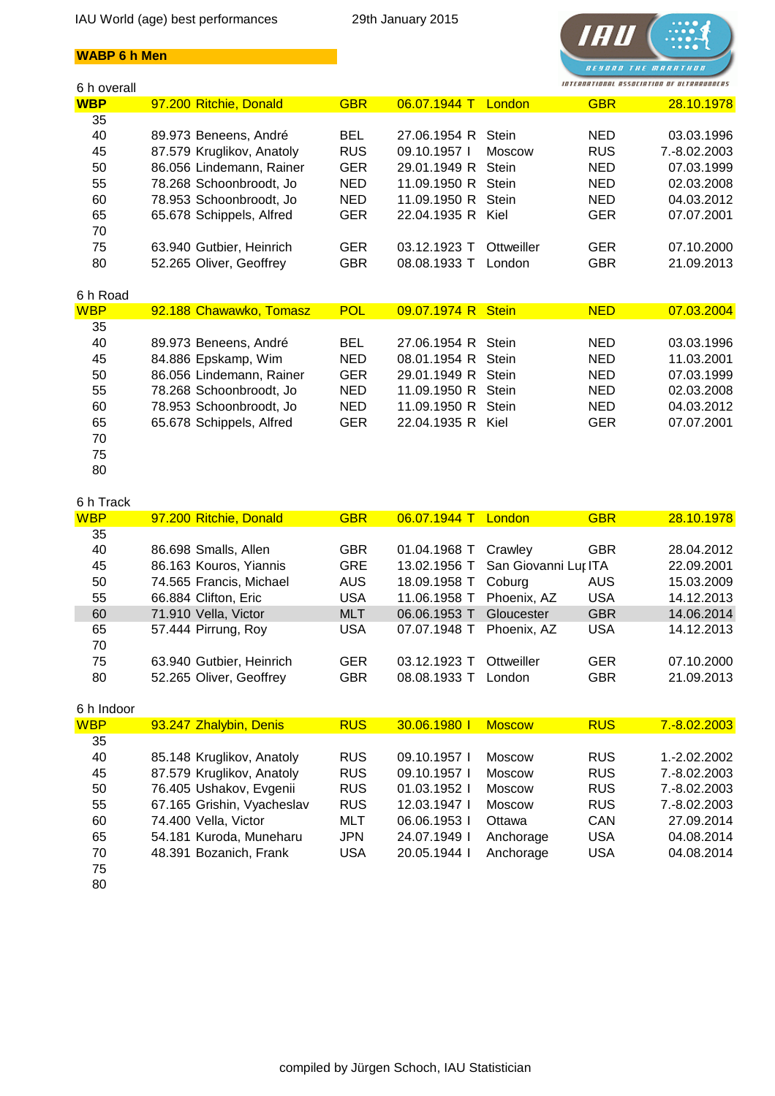#### **WABP 6 h Men**



| 6 h overall |                           |            |                    |               |            | INTERNATIONAL ASSOCIATING OF ULTRARUMAENS |
|-------------|---------------------------|------------|--------------------|---------------|------------|-------------------------------------------|
| <b>WBP</b>  | 97.200 Ritchie, Donald    | <b>GBR</b> | 06.07.1944 T       | London        | <b>GBR</b> | 28.10.1978                                |
| 35          |                           |            |                    |               |            |                                           |
| 40          | 89.973 Beneens, André     | <b>BEL</b> | 27.06.1954 R       | Stein         | <b>NED</b> | 03.03.1996                                |
| 45          | 87.579 Kruglikov, Anatoly | <b>RUS</b> | 09.10.1957         | <b>Moscow</b> | <b>RUS</b> | 7.-8.02.2003                              |
| 50          | 86.056 Lindemann, Rainer  | <b>GER</b> | 29.01.1949 R       | Stein         | <b>NED</b> | 07.03.1999                                |
| 55          | 78.268 Schoonbroodt, Jo   | NED        | 11.09.1950 R       | <b>Stein</b>  | <b>NED</b> | 02.03.2008                                |
| 60          | 78.953 Schoonbroodt, Jo   | <b>NED</b> | 11.09.1950 R       | Stein         | <b>NED</b> | 04.03.2012                                |
| 65          | 65.678 Schippels, Alfred  | <b>GER</b> | 22.04.1935 R       | Kiel          | <b>GER</b> | 07.07.2001                                |
| 70          |                           |            |                    |               |            |                                           |
| 75          | 63.940 Gutbier, Heinrich  | <b>GER</b> | 03.12.1923 T       | Ottweiller    | <b>GER</b> | 07.10.2000                                |
| 80          | 52.265 Oliver, Geoffrey   | <b>GBR</b> | 08.08.1933 T       | London        | <b>GBR</b> | 21.09.2013                                |
|             |                           |            |                    |               |            |                                           |
| 6 h Road    |                           |            |                    |               |            |                                           |
| <b>WBP</b>  | 92.188 Chawawko, Tomasz   | <b>POL</b> | 09.07.1974 R Stein |               | <b>NED</b> | 07.03.2004                                |
| 35          |                           |            |                    |               |            |                                           |
| 40          | 89.973 Beneens, André     | <b>BEL</b> | 27.06.1954 R       | Stein         | <b>NED</b> | 03.03.1996                                |
| 45          | 84.886 Epskamp, Wim       | NED        | 08.01.1954 R       | Stein         | <b>NED</b> | 11.03.2001                                |
| 50          | 86.056 Lindemann, Rainer  | <b>GER</b> | 29.01.1949 R       | Stein         | <b>NED</b> | 07.03.1999                                |
| 55          | 78.268 Schoonbroodt, Jo   | <b>NED</b> | 11.09.1950 R       | Stein         | <b>NED</b> | 02.03.2008                                |
| 60          | 78.953 Schoonbroodt, Jo   | <b>NED</b> | 11.09.1950 R       | Stein         | <b>NED</b> | 04.03.2012                                |
| 65          | 65.678 Schippels, Alfred  | <b>GER</b> | 22.04.1935 R       | Kiel          | <b>GER</b> | 07.07.2001                                |
| 70          |                           |            |                    |               |            |                                           |

- 75 80
- 6 h Track WBP 97.200 Ritchie, Donald GBR 06.07.1944 T London GBR 28.10.1978 35 40 86.698 Smalls, Allen GBR 01.04.1968 T Crawley GBR 28.04.2012 45 86.163 Kouros, Yiannis GRE 13.02.1956 T San Giovanni Lupatoto ITA 22.09.2001 50 74.565 Francis, Michael AUS 18.09.1958 T Coburg AUS 15.03.2009 55 66.884 Clifton, Eric USA 11.06.1958 T Phoenix, AZ USA 14.12.2013 60 71.910 Vella, Victor MLT 06.06.1953 T Gloucester GBR 14.06.2014 65 57.444 Pirrung, Roy USA 07.07.1948 T Phoenix, AZ USA 14.12.2013 70 75 63.940 Gutbier, Heinrich GER 03.12.1923 T Ottweiller GER 07.10.2000 80 52.265 Oliver, Geoffrey GBR 08.08.1933 T London GBR 21.09.2013 6 h Indoor WBP 93.247 Zhalybin, Denis RUS 30.06.1980 I Moscow RUS 7.-8.02.2003 35 40 85.148 Kruglikov, Anatoly RUS 09.10.1957 I Moscow RUS 1.-2.02.2002 45 87.579 Kruglikov, Anatoly RUS 09.10.1957 I Moscow RUS 7.-8.02.2003 50 76.405 Ushakov, Evgenii RUS 01.03.1952 I Moscow RUS 7.-8.02.2003 55 67.165 Grishin, Vyacheslav RUS 12.03.1947 I Moscow RUS 7.-8.02.2003 60 74.400 Vella, Victor MLT 06.06.1953 I Ottawa CAN 27.09.2014 65 54.181 Kuroda, Muneharu JPN 24.07.1949 I Anchorage USA 04.08.2014 70 48.391 Bozanich, Frank USA 20.05.1944 I Anchorage USA 04.08.2014 75
	- 80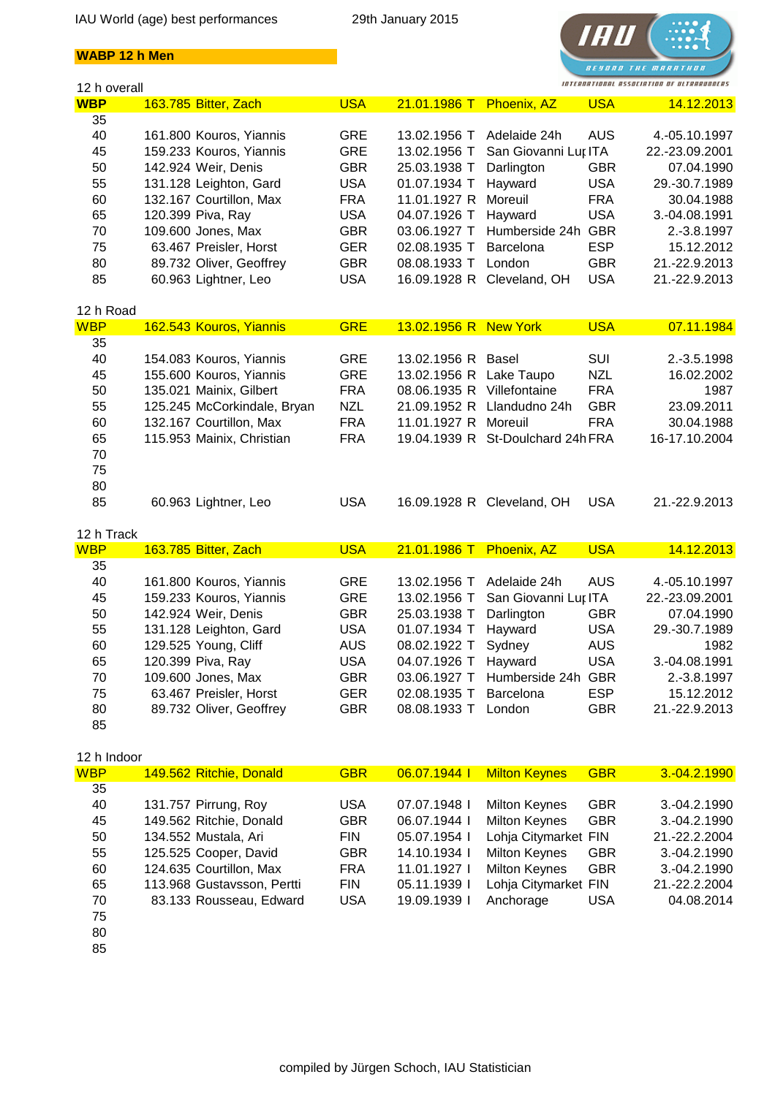



| 12 h overall |                             |            |                            |                                   |            | INTERNATIONAL ASSOCIATION OF ULTRARUNNERS |
|--------------|-----------------------------|------------|----------------------------|-----------------------------------|------------|-------------------------------------------|
| <b>WBP</b>   | 163.785 Bitter, Zach        | <b>USA</b> | 21.01.1986 T Phoenix, AZ   |                                   | <b>USA</b> | 14.12.2013                                |
| 35           |                             |            |                            |                                   |            |                                           |
| 40           | 161.800 Kouros, Yiannis     | <b>GRE</b> | 13.02.1956 T               | Adelaide 24h                      | <b>AUS</b> | 4.-05.10.1997                             |
| 45           | 159.233 Kouros, Yiannis     | <b>GRE</b> | 13.02.1956 T               | San Giovanni Lur ITA              |            | 22.-23.09.2001                            |
| 50           | 142.924 Weir, Denis         | <b>GBR</b> | 25.03.1938 T               | Darlington                        | <b>GBR</b> | 07.04.1990                                |
| 55           | 131.128 Leighton, Gard      | <b>USA</b> | 01.07.1934 T               | Hayward                           | <b>USA</b> | 29.-30.7.1989                             |
| 60           | 132.167 Courtillon, Max     | <b>FRA</b> | 11.01.1927 R               | Moreuil                           | <b>FRA</b> | 30.04.1988                                |
| 65           | 120.399 Piva, Ray           | <b>USA</b> | 04.07.1926 T               | Hayward                           | <b>USA</b> | 3.-04.08.1991                             |
| 70           | 109.600 Jones, Max          | <b>GBR</b> | 03.06.1927 T               | Humberside 24h                    | <b>GBR</b> | 2.-3.8.1997                               |
| 75           | 63.467 Preisler, Horst      | <b>GER</b> | 02.08.1935 T               | Barcelona                         | <b>ESP</b> | 15.12.2012                                |
| 80           | 89.732 Oliver, Geoffrey     | <b>GBR</b> | 08.08.1933 T               | London                            | <b>GBR</b> | 21.-22.9.2013                             |
| 85           | 60.963 Lightner, Leo        | <b>USA</b> | 16.09.1928 R               | Cleveland, OH                     | <b>USA</b> | 21.-22.9.2013                             |
| 12 h Road    |                             |            |                            |                                   |            |                                           |
| <b>WBP</b>   | 162.543 Kouros, Yiannis     | <b>GRE</b> | 13.02.1956 R New York      |                                   | <b>USA</b> | 07.11.1984                                |
| 35           |                             |            |                            |                                   |            |                                           |
| 40           | 154.083 Kouros, Yiannis     | <b>GRE</b> | 13.02.1956 R Basel         |                                   | SUI        | 2.-3.5.1998                               |
| 45           | 155.600 Kouros, Yiannis     | <b>GRE</b> | 13.02.1956 R Lake Taupo    |                                   | <b>NZL</b> | 16.02.2002                                |
| 50           | 135.021 Mainix, Gilbert     | <b>FRA</b> | 08.06.1935 R Villefontaine |                                   | <b>FRA</b> | 1987                                      |
| 55           | 125.245 McCorkindale, Bryan | <b>NZL</b> |                            | 21.09.1952 R Llandudno 24h        | <b>GBR</b> | 23.09.2011                                |
| 60           | 132.167 Courtillon, Max     | <b>FRA</b> | 11.01.1927 R               | Moreuil                           | <b>FRA</b> | 30.04.1988                                |
| 65           | 115.953 Mainix, Christian   | <b>FRA</b> |                            | 19.04.1939 R St-Doulchard 24h FRA |            | 16-17.10.2004                             |
| 70           |                             |            |                            |                                   |            |                                           |
| 75           |                             |            |                            |                                   |            |                                           |
| 80           |                             |            |                            |                                   |            |                                           |
| 85           | 60.963 Lightner, Leo        | <b>USA</b> |                            | 16.09.1928 R Cleveland, OH        | <b>USA</b> | 21.-22.9.2013                             |
|              |                             |            |                            |                                   |            |                                           |
| 12 h Track   |                             |            |                            |                                   |            |                                           |
| <b>WBP</b>   | 163.785 Bitter, Zach        | <b>USA</b> | 21.01.1986 T Phoenix, AZ   |                                   | <b>USA</b> | 14.12.2013                                |
| 35           |                             |            |                            |                                   |            |                                           |
| 40           | 161.800 Kouros, Yiannis     | <b>GRE</b> | 13.02.1956 T               | Adelaide 24h                      | <b>AUS</b> | 4.-05.10.1997                             |
| 45           | 159.233 Kouros, Yiannis     | <b>GRE</b> | 13.02.1956 T               | San Giovanni Lur ITA              |            | 22.-23.09.2001                            |
| 50           | 142.924 Weir, Denis         | <b>GBR</b> | 25.03.1938 T               | Darlington                        | <b>GBR</b> | 07.04.1990                                |
| 55           | 131.128 Leighton, Gard      | <b>USA</b> | 01.07.1934 T               | Hayward                           | <b>USA</b> | 29.-30.7.1989                             |
| 60           | 129.525 Young, Cliff        | <b>AUS</b> | 08.02.1922 T               | Sydney                            | <b>AUS</b> | 1982                                      |
| 65           | 120.399 Piva, Ray           | <b>USA</b> | 04.07.1926 T Hayward       |                                   | <b>USA</b> | 3.-04.08.1991                             |
| 70           | 109.600 Jones, Max          | <b>GBR</b> |                            | 03.06.1927 T Humberside 24h GBR   |            | 2.-3.8.1997                               |
| 75           | 63.467 Preisler, Horst      | <b>GER</b> | 02.08.1935 T               | Barcelona                         | <b>ESP</b> | 15.12.2012                                |
| 80           | 89.732 Oliver, Geoffrey     | <b>GBR</b> | 08.08.1933 T London        |                                   | <b>GBR</b> | 21.-22.9.2013                             |
| 85           |                             |            |                            |                                   |            |                                           |
| 12 h Indoor  |                             |            |                            |                                   |            |                                           |
| <b>WBP</b>   | 149.562 Ritchie, Donald     | <b>GBR</b> | 06.07.1944                 | <b>Milton Keynes</b>              | <b>GBR</b> | 3.-04.2.1990                              |
| 35           |                             |            |                            |                                   |            |                                           |
| 40           | 131.757 Pirrung, Roy        | <b>USA</b> | 07.07.1948 l               | <b>Milton Keynes</b>              | <b>GBR</b> | 3.-04.2.1990                              |
| 45           | 149.562 Ritchie, Donald     | <b>GBR</b> | 06.07.1944 l               | <b>Milton Keynes</b>              | <b>GBR</b> | 3.-04.2.1990                              |
| 50           | 134.552 Mustala, Ari        | <b>FIN</b> | 05.07.1954 l               | Lohja Citymarket FIN              |            | 21.-22.2.2004                             |
| 55           | 125.525 Cooper, David       | <b>GBR</b> | 14.10.1934 l               | <b>Milton Keynes</b>              | <b>GBR</b> | 3.-04.2.1990                              |
| 60           | 124.635 Courtillon, Max     | <b>FRA</b> | 11.01.1927 l               | <b>Milton Keynes</b>              | <b>GBR</b> | 3.-04.2.1990                              |

- 75 80
- 85

65 113.968 Gustavsson, Pertti FIN 05.11.1939 I Lohja Citymarket FIN 21.-22.2.2004 70 83.133 Rousseau, Edward USA 19.09.1939 I Anchorage USA 04.08.2014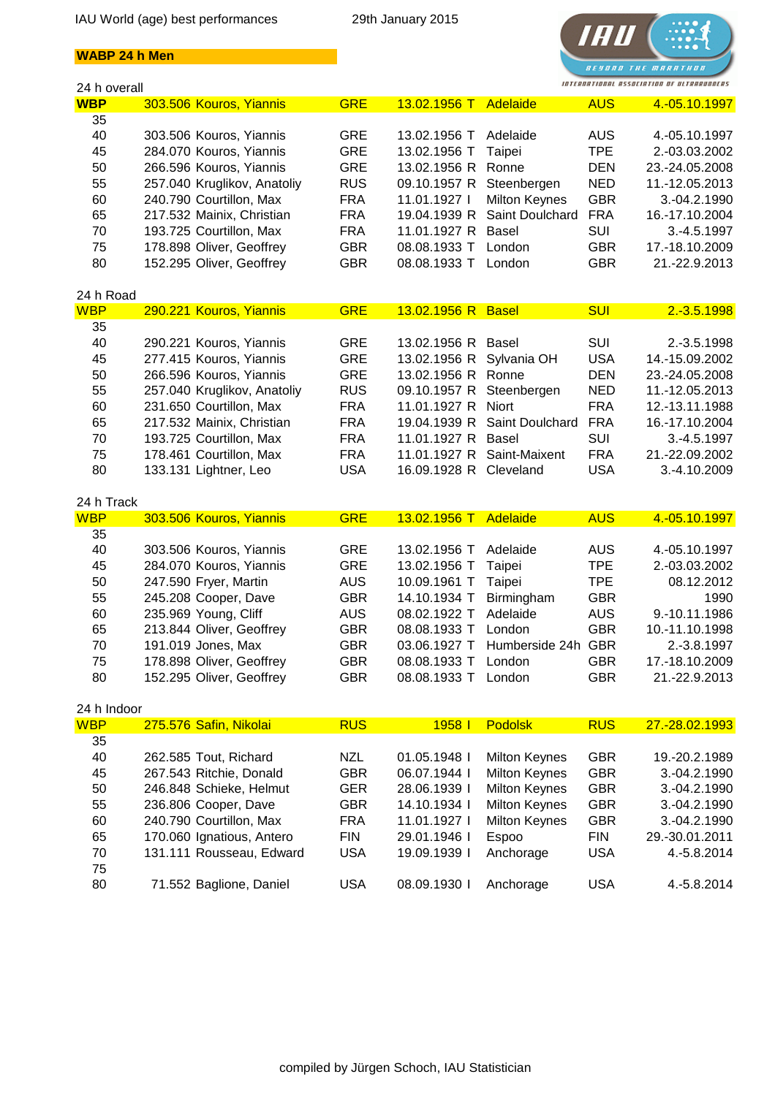## **WABP 24 h Men**



| 24 h overall |                             |            |                        |                      |            | INTERNATIONAL ASSOCIATION OF ULTRARUNNERS |
|--------------|-----------------------------|------------|------------------------|----------------------|------------|-------------------------------------------|
| <b>WBP</b>   | 303.506 Kouros, Yiannis     | <b>GRE</b> | 13.02.1956 T           | Adelaide             | <b>AUS</b> | 4.-05.10.1997                             |
| 35           |                             |            |                        |                      |            |                                           |
| 40           | 303.506 Kouros, Yiannis     | <b>GRE</b> | 13.02.1956 T           | Adelaide             | <b>AUS</b> | 4.-05.10.1997                             |
| 45           | 284.070 Kouros, Yiannis     | <b>GRE</b> | 13.02.1956 T           | Taipei               | <b>TPE</b> | 2.-03.03.2002                             |
| 50           | 266.596 Kouros, Yiannis     | <b>GRE</b> | 13.02.1956 R           | Ronne                | <b>DEN</b> | 23.-24.05.2008                            |
| 55           | 257.040 Kruglikov, Anatoliy | <b>RUS</b> | 09.10.1957 R           | Steenbergen          | <b>NED</b> | 11.-12.05.2013                            |
| 60           | 240.790 Courtillon, Max     | <b>FRA</b> | 11.01.1927 l           | <b>Milton Keynes</b> | <b>GBR</b> | 3.-04.2.1990                              |
| 65           | 217.532 Mainix, Christian   | <b>FRA</b> | 19.04.1939 R           | Saint Doulchard      | <b>FRA</b> | 16.-17.10.2004                            |
| 70           | 193.725 Courtillon, Max     | <b>FRA</b> | 11.01.1927 R           | Basel                | SUI        | 3.-4.5.1997                               |
| 75           | 178.898 Oliver, Geoffrey    | <b>GBR</b> | 08.08.1933 T           | London               | <b>GBR</b> | 17.-18.10.2009                            |
| 80           | 152.295 Oliver, Geoffrey    | <b>GBR</b> | 08.08.1933 T           | London               | <b>GBR</b> | 21.-22.9.2013                             |
|              |                             |            |                        |                      |            |                                           |
| 24 h Road    |                             |            |                        |                      |            |                                           |
| <b>WBP</b>   | 290.221 Kouros, Yiannis     | <b>GRE</b> | 13.02.1956 R Basel     |                      | <b>SUI</b> | $2.-3.5.1998$                             |
| 35           |                             |            |                        |                      |            |                                           |
| 40           | 290.221 Kouros, Yiannis     | <b>GRE</b> | 13.02.1956 R           |                      | <b>SUI</b> | 2.-3.5.1998                               |
|              |                             |            | 13.02.1956 R           | Basel                |            |                                           |
| 45           | 277.415 Kouros, Yiannis     | <b>GRE</b> |                        | Sylvania OH          | <b>USA</b> | 14.-15.09.2002                            |
| 50           | 266.596 Kouros, Yiannis     | <b>GRE</b> | 13.02.1956 R           | Ronne                | <b>DEN</b> | 23.-24.05.2008                            |
| 55           | 257.040 Kruglikov, Anatoliy | <b>RUS</b> | 09.10.1957 R           | Steenbergen          | <b>NED</b> | 11.-12.05.2013                            |
| 60           | 231.650 Courtillon, Max     | <b>FRA</b> | 11.01.1927 R           | Niort                | <b>FRA</b> | 12.-13.11.1988                            |
| 65           | 217.532 Mainix, Christian   | <b>FRA</b> | 19.04.1939 R           | Saint Doulchard      | <b>FRA</b> | 16.-17.10.2004                            |
| 70           | 193.725 Courtillon, Max     | <b>FRA</b> | 11.01.1927 R           | Basel                | SUI        | 3.-4.5.1997                               |
| 75           | 178.461 Courtillon, Max     | <b>FRA</b> | 11.01.1927 R           | Saint-Maixent        | <b>FRA</b> | 21.-22.09.2002                            |
| 80           | 133.131 Lightner, Leo       | <b>USA</b> | 16.09.1928 R Cleveland |                      | <b>USA</b> | 3.-4.10.2009                              |
|              |                             |            |                        |                      |            |                                           |
| 24 h Track   |                             |            |                        |                      |            |                                           |
| <b>WBP</b>   | 303.506 Kouros, Yiannis     | <b>GRE</b> | 13.02.1956 T           | Adelaide             | <b>AUS</b> | 4.-05.10.1997                             |
| 35           |                             |            |                        |                      |            |                                           |
| 40           | 303.506 Kouros, Yiannis     | <b>GRE</b> | 13.02.1956 T           | Adelaide             | <b>AUS</b> | 4.-05.10.1997                             |
| 45           | 284.070 Kouros, Yiannis     | <b>GRE</b> | 13.02.1956 T           | Taipei               | <b>TPE</b> | 2.-03.03.2002                             |
| 50           | 247.590 Fryer, Martin       | <b>AUS</b> | 10.09.1961 T           | Taipei               | <b>TPE</b> | 08.12.2012                                |
| 55           | 245.208 Cooper, Dave        | <b>GBR</b> | 14.10.1934 T           | Birmingham           | <b>GBR</b> | 1990                                      |
| 60           | 235.969 Young, Cliff        | <b>AUS</b> | 08.02.1922 T           | Adelaide             | <b>AUS</b> | 9.-10.11.1986                             |
| 65           | 213.844 Oliver, Geoffrey    | <b>GBR</b> | 08.08.1933 T           | London               | <b>GBR</b> | 10.-11.10.1998                            |
| 70           | 191.019 Jones, Max          | <b>GBR</b> | 03.06.1927 T           | Humberside 24h       | <b>GBR</b> | 2.-3.8.1997                               |
| 75           | 178.898 Oliver, Geoffrey    | <b>GBR</b> | 08.08.1933 T           | London               | <b>GBR</b> | 17.-18.10.2009                            |
| 80           | 152.295 Oliver, Geoffrey    | <b>GBR</b> | 08.08.1933 T London    |                      | <b>GBR</b> | 21.-22.9.2013                             |
|              |                             |            |                        |                      |            |                                           |
| 24 h Indoor  |                             |            |                        |                      |            |                                           |
| <b>WBP</b>   | 275.576 Safin, Nikolai      | <b>RUS</b> | 1958 l                 | <b>Podolsk</b>       | <b>RUS</b> | 27.-28.02.1993                            |
| 35           |                             |            |                        |                      |            |                                           |
|              |                             |            |                        |                      |            |                                           |
| 40           | 262.585 Tout, Richard       | <b>NZL</b> | 01.05.1948 l           | <b>Milton Keynes</b> | <b>GBR</b> | 19.-20.2.1989                             |
| 45           | 267.543 Ritchie, Donald     | <b>GBR</b> | 06.07.1944 l           | <b>Milton Keynes</b> | <b>GBR</b> | 3.-04.2.1990                              |
| 50           | 246.848 Schieke, Helmut     | <b>GER</b> | 28.06.1939 l           | Milton Keynes        | <b>GBR</b> | 3.-04.2.1990                              |
| 55           | 236.806 Cooper, Dave        | <b>GBR</b> | 14.10.1934 l           | <b>Milton Keynes</b> | <b>GBR</b> | 3.-04.2.1990                              |
| 60           | 240.790 Courtillon, Max     | <b>FRA</b> | 11.01.1927 l           | Milton Keynes        | <b>GBR</b> | 3.-04.2.1990                              |
| 65           | 170.060 Ignatious, Antero   | <b>FIN</b> | 29.01.1946 l           | Espoo                | <b>FIN</b> | 29.-30.01.2011                            |
| 70           | 131.111 Rousseau, Edward    | <b>USA</b> | 19.09.1939 l           | Anchorage            | <b>USA</b> | 4.-5.8.2014                               |
| 75           |                             |            |                        |                      |            |                                           |
| 80           | 71.552 Baglione, Daniel     | <b>USA</b> | 08.09.1930             | Anchorage            | <b>USA</b> | 4.-5.8.2014                               |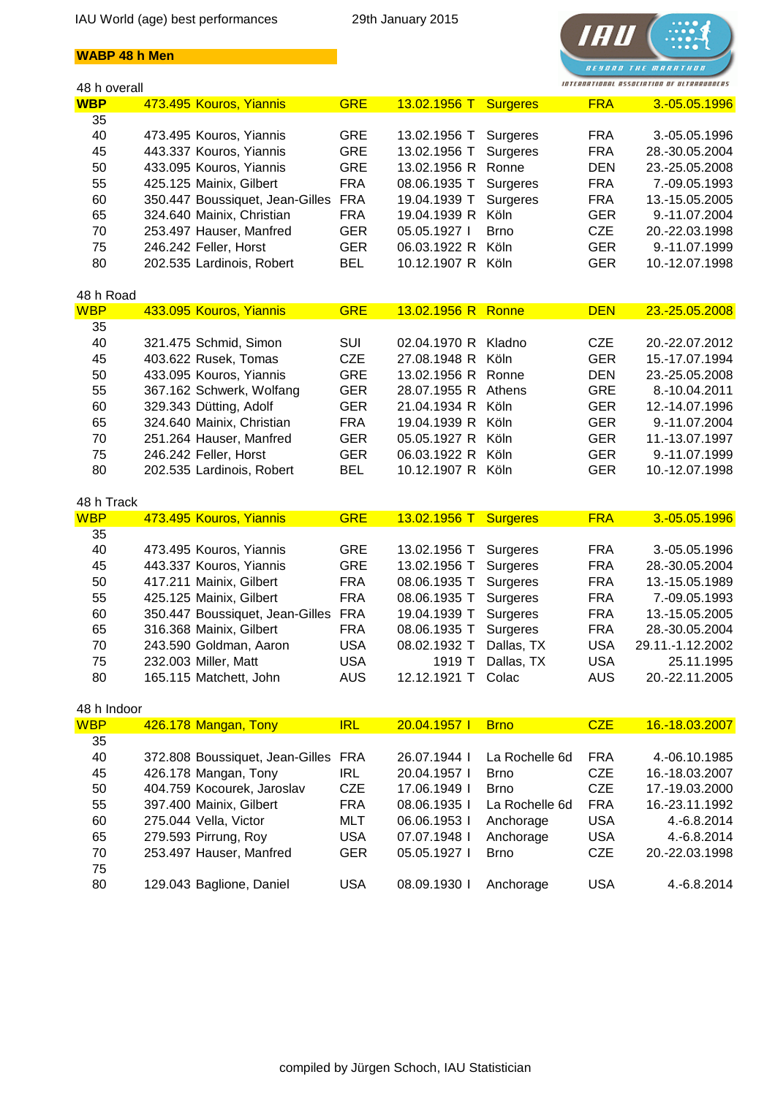



| 48 h overall |                                                             |            |                       |                 |            | INTERNATIONAL ASSOCIATION OF ULTRARUNDERS |
|--------------|-------------------------------------------------------------|------------|-----------------------|-----------------|------------|-------------------------------------------|
| <b>WBP</b>   | 473.495 Kouros, Yiannis                                     | <b>GRE</b> | 13.02.1956 T Surgeres |                 | <b>FRA</b> | 3.-05.05.1996                             |
| 35           |                                                             |            |                       |                 |            |                                           |
| 40           | 473.495 Kouros, Yiannis                                     | GRE        | 13.02.1956 T          | Surgeres        | <b>FRA</b> | 3.-05.05.1996                             |
| 45           | 443.337 Kouros, Yiannis                                     | <b>GRE</b> | 13.02.1956 T          | Surgeres        | <b>FRA</b> | 28.-30.05.2004                            |
| 50           | 433.095 Kouros, Yiannis                                     | <b>GRE</b> | 13.02.1956 R          | Ronne           | <b>DEN</b> | 23.-25.05.2008                            |
| 55           | 425.125 Mainix, Gilbert                                     | <b>FRA</b> | 08.06.1935 T          | Surgeres        | <b>FRA</b> | 7.-09.05.1993                             |
| 60           | 350.447 Boussiquet, Jean-Gilles                             | <b>FRA</b> | 19.04.1939 T          | Surgeres        | <b>FRA</b> | 13.-15.05.2005                            |
| 65           | 324.640 Mainix, Christian                                   | <b>FRA</b> | 19.04.1939 R          | Köln            | <b>GER</b> | 9.-11.07.2004                             |
| 70           | 253.497 Hauser, Manfred                                     | <b>GER</b> | 05.05.1927            | <b>Brno</b>     | <b>CZE</b> | 20.-22.03.1998                            |
|              |                                                             |            | 06.03.1922 R Köln     |                 | <b>GER</b> |                                           |
| 75           | 246.242 Feller, Horst                                       | <b>GER</b> |                       |                 |            | 9.-11.07.1999                             |
| 80           | 202.535 Lardinois, Robert                                   | <b>BEL</b> | 10.12.1907 R Köln     |                 | <b>GER</b> | 10.-12.07.1998                            |
| 48 h Road    |                                                             |            |                       |                 |            |                                           |
| <b>WBP</b>   | 433.095 Kouros, Yiannis                                     | <b>GRE</b> | 13.02.1956 R Ronne    |                 | <b>DEN</b> | 23.-25.05.2008                            |
| 35           |                                                             |            |                       |                 |            |                                           |
| 40           | 321.475 Schmid, Simon                                       | SUI        | 02.04.1970 R Kladno   |                 | <b>CZE</b> | 20.-22.07.2012                            |
| 45           | 403.622 Rusek, Tomas                                        | <b>CZE</b> | 27.08.1948 R          | Köln            | <b>GER</b> | 15.-17.07.1994                            |
| 50           | 433.095 Kouros, Yiannis                                     | <b>GRE</b> | 13.02.1956 R Ronne    |                 | <b>DEN</b> | 23.-25.05.2008                            |
| 55           | 367.162 Schwerk, Wolfang                                    | <b>GER</b> | 28.07.1955 R Athens   |                 | <b>GRE</b> | 8.-10.04.2011                             |
| 60           | 329.343 Dütting, Adolf                                      | <b>GER</b> | 21.04.1934 R Köln     |                 | <b>GER</b> | 12.-14.07.1996                            |
|              |                                                             |            |                       |                 |            |                                           |
| 65           | 324.640 Mainix, Christian                                   | <b>FRA</b> | 19.04.1939 R Köln     |                 | <b>GER</b> | 9.-11.07.2004                             |
| 70           | 251.264 Hauser, Manfred                                     | <b>GER</b> | 05.05.1927 R Köln     |                 | <b>GER</b> | 11.-13.07.1997                            |
| 75           | 246.242 Feller, Horst                                       | <b>GER</b> | 06.03.1922 R Köln     |                 | <b>GER</b> | 9.-11.07.1999                             |
| 80           | 202.535 Lardinois, Robert                                   | <b>BEL</b> | 10.12.1907 R Köln     |                 | <b>GER</b> | 10.-12.07.1998                            |
|              |                                                             |            |                       |                 |            |                                           |
| 48 h Track   |                                                             |            |                       |                 |            |                                           |
| <b>WBP</b>   | 473.495 Kouros, Yiannis                                     | <b>GRE</b> | 13.02.1956 T          | <b>Surgeres</b> | <b>FRA</b> | 3.-05.05.1996                             |
|              |                                                             |            |                       |                 |            |                                           |
| 35           |                                                             |            |                       |                 |            |                                           |
| 40           | 473.495 Kouros, Yiannis                                     | <b>GRE</b> | 13.02.1956 T          | Surgeres        | <b>FRA</b> | 3.-05.05.1996                             |
| 45           | 443.337 Kouros, Yiannis                                     | <b>GRE</b> | 13.02.1956 T          | Surgeres        | <b>FRA</b> | 28.-30.05.2004                            |
| 50           | 417.211 Mainix, Gilbert                                     | <b>FRA</b> | 08.06.1935 T          | Surgeres        | <b>FRA</b> | 13.-15.05.1989                            |
| 55           | 425.125 Mainix, Gilbert                                     | <b>FRA</b> | 08.06.1935 T          | Surgeres        | <b>FRA</b> | 7.-09.05.1993                             |
| 60           | 350.447 Boussiquet, Jean-Gilles                             | <b>FRA</b> | 19.04.1939 T          | Surgeres        | <b>FRA</b> | 13.-15.05.2005                            |
| 65           | 316.368 Mainix, Gilbert                                     | <b>FRA</b> | 08.06.1935 T          | Surgeres        | <b>FRA</b> | 28.-30.05.2004                            |
| 70           | 243.590 Goldman, Aaron                                      | <b>USA</b> | 08.02.1932 T          | Dallas, TX      | <b>USA</b> | 29.11.-1.12.2002                          |
| 75           | 232.003 Miller, Matt                                        | <b>USA</b> | 1919 T                | Dallas, TX      | <b>USA</b> | 25.11.1995                                |
| 80           | 165.115 Matchett, John                                      | <b>AUS</b> | 12.12.1921 T Colac    |                 | <b>AUS</b> | 20.-22.11.2005                            |
| 48 h Indoor  |                                                             |            |                       |                 |            |                                           |
| <b>WBP</b>   | 426.178 Mangan, Tony                                        | <b>IRL</b> | 20.04.1957            | <b>Brno</b>     | <b>CZE</b> | 16.-18.03.2007                            |
| 35           |                                                             |            |                       |                 |            |                                           |
| 40           |                                                             |            | 26.07.1944 I          | La Rochelle 6d  | FRA        | 4.-06.10.1985                             |
|              | 372.808 Boussiquet, Jean-Gilles FRA<br>426.178 Mangan, Tony | IRL        |                       | <b>Brno</b>     | <b>CZE</b> |                                           |
| 45           |                                                             |            | 20.04.1957 l          |                 |            | 16.-18.03.2007                            |
| 50           | 404.759 Kocourek, Jaroslav                                  | <b>CZE</b> | 17.06.1949 l          | <b>Brno</b>     | <b>CZE</b> | 17.-19.03.2000                            |
| 55           | 397.400 Mainix, Gilbert                                     | <b>FRA</b> | 08.06.1935 l          | La Rochelle 6d  | <b>FRA</b> | 16.-23.11.1992                            |
| 60           | 275.044 Vella, Victor                                       | MLT        | 06.06.1953 l          | Anchorage       | <b>USA</b> | 4.-6.8.2014                               |
| 65           | 279.593 Pirrung, Roy                                        | <b>USA</b> | 07.07.1948 I          | Anchorage       | <b>USA</b> | 4.-6.8.2014                               |
| 70           | 253.497 Hauser, Manfred                                     | <b>GER</b> | 05.05.1927 l          | <b>Brno</b>     | <b>CZE</b> | 20.-22.03.1998                            |
| 75<br>80     | 129.043 Baglione, Daniel                                    | <b>USA</b> | 08.09.1930 l          | Anchorage       | <b>USA</b> | 4.-6.8.2014                               |